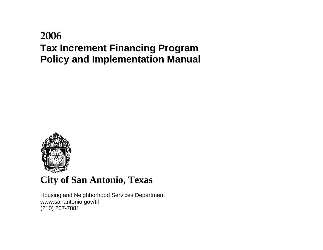# **2006 Tax Increment Financing Program Policy and Implementation Manual**



# **City of San Antonio, Texas**

Housing and Neighborhood Services Department www.sanantonio.gov/tif (210) 207-7881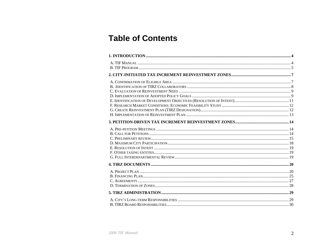# **Table of Contents**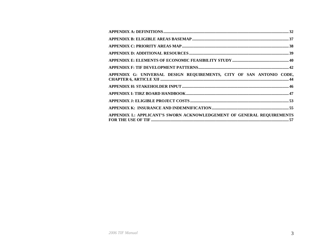| APPENDIX G: UNIVERSAL DESIGN REQUIREMENTS, CITY OF SAN ANTONIO CODE,  |  |
|-----------------------------------------------------------------------|--|
|                                                                       |  |
|                                                                       |  |
|                                                                       |  |
|                                                                       |  |
| APPENDIX L: APPLICANT'S SWORN ACKNOWLEDGEMENT OF GENERAL REQUIREMENTS |  |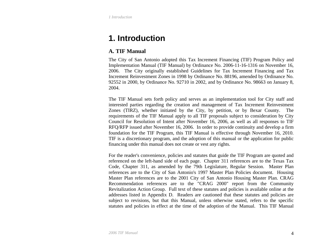<span id="page-3-0"></span>*1 Introduction* 

# **1. Introduction**

# **A. TIF Manual**

The City of San Antonio adopted this Tax Increment Financing (TIF) Program Policy and Implementation Manual (TIF Manual) by Ordinance No. 2006-11-16-1316 on November 16, 2006. The City originally established Guidelines for Tax Increment Financing and Tax Increment Reinvestment Zones in 1998 by Ordinance No. 88196, amended by Ordinance No. 92552 in 2000, by Ordinance No. 92710 in 2002, and by Ordinance No. 98663 on January 8, 2004.

The TIF Manual sets forth policy and serves as an implementation tool for City staff and interested parties regarding the creation and management of Tax Increment Reinvestment Zones (TIRZ), whether initiated by the City, by petition, or by Bexar County. The requirements of the TIF Manual apply to all TIF proposals subject to consideration by City Council for Resolution of Intent after November 16, 2006, as well as all responses to TIF RFQ/RFP issued after November 16, 2006. In order to provide continuity and develop a firm foundation for the TIF Program, this TIF Manual is effective through November 16, 2010. TIF is a discretionary program, and the adoption of this manual or the application for public financing under this manual does not create or vest any rights.

For the reader's convenience, policies and statutes that guide the TIF Program are quoted and referenced on the left-hand side of each page. Chapter 311 references are to the Texas Tax Code, Chapter 311, as amended by the 79th Legislature, Regular Session. Master Plan references are to the City of San Antonio's 1997 Master Plan Policies document. Housing Master Plan references are to the 2001 City of San Antonio Housing Master Plan. CRAG Recommendation references are to the "CRAG 2000" report from the Community Revitalization Action Group. Full text of these statutes and policies is available online at the addresses listed in Appendix D. Readers are cautioned that these statutes and policies are subject to revisions, but that this Manual, unless otherwise stated, refers to the specific statutes and policies in effect at the time of the adoption of the Manual. This TIF Manual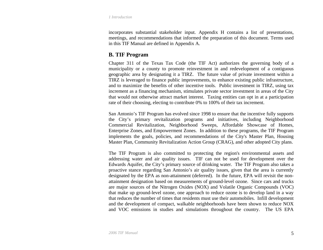<span id="page-4-0"></span>*1 Introduction* 

incorporates substantial stakeholder input. Appendix H contains a list of presentations, meetings, and recommendations that informed the preparation of this document. Terms used in this TIF Manual are defined in Appendix A.

# **B. TIF Program**

Chapter 311 of the Texas Tax Code (the TIF Act) authorizes the governing body of a municipality or a county to promote reinvestment in and redevelopment of a contiguous geographic area by designating it a TIRZ. The future value of private investment within a TIRZ is leveraged to finance public improvements, to enhance existing public infrastructure, and to maximize the benefits of other incentive tools. Public investment in TIRZ, using tax increment as a financing mechanism, stimulates private sector investment in areas of the City that would not otherwise attract market interest. Taxing entities can opt in at a participation rate of their choosing, electing to contribute 0% to 100% of their tax increment.

San Antonio's TIF Program has evolved since 1998 to ensure that the incentive fully supports the City's primary revitalization programs and initiatives, including Neighborhood Commercial Revitalization, Neighborhood Sweeps, Affordable Showcase of Homes, Enterprise Zones, and Empowerment Zones. In addition to these programs, the TIF Program implements the goals, policies, and recommendations of the City's Master Plan, Housing Master Plan, Community Revitalization Action Group (CRAG), and other adopted City plans.

The TIF Program is also committed to protecting the region's environmental assets and addressing water and air quality issues. TIF can not be used for development over the Edwards Aquifer, the City's primary source of drinking water. The TIF Program also takes a proactive stance regarding San Antonio's air quality issues, given that the area is currently designated by the EPA as non-attainment (deferred). In the future, EPA will revisit the nonattainment designation based on measurements of ground-level ozone. Since cars and trucks are major sources of the Nitrogen Oxides (NOX) and Volatile Organic Compounds (VOC) that make up ground-level ozone, one approach to reduce ozone is to develop land in a way that reduces the number of times that residents must use their automobiles. Infill development and the development of compact, walkable neighborhoods have been shown to reduce NOX and VOC emissions in studies and simulations throughout the country. The US EPA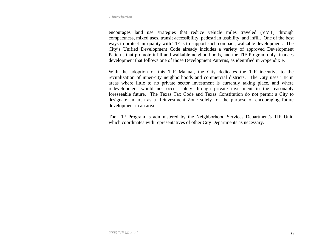#### *1 Introduction*

encourages land use strategies that reduce vehicle miles traveled (VMT) through compactness, mixed uses, transit accessibility, pedestrian usability, and infill. One of the best ways to protect air quality with TIF is to support such compact, walkable development. The City's Unified Development Code already includes a variety of approved Development Patterns that promote infill and walkable neighborhoods, and the TIF Program only finances development that follows one of those Development Patterns, as identified in Appendix F.

With the adoption of this TIF Manual, the City dedicates the TIF incentive to the revitalization of inner-city neighborhoods and commercial districts. The City uses TIF in areas where little to no private sector investment is currently taking place, and where redevelopment would not occur solely through private investment in the reasonably foreseeable future. The Texas Tax Code and Texas Constitution do not permit a City to designate an area as a Reinvestment Zone solely for the purpose of encouraging future development in an area.

The TIF Program is administered by the Neighborhood Services Department's TIF Unit, which coordinates with representatives of other City Departments as necessary.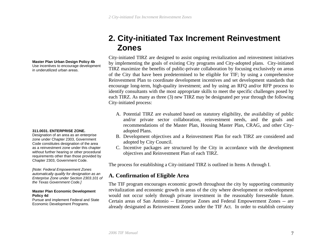# **2. City-initiated Tax Increment Reinvestment Zones**

City-initiated TIRZ are designed to assist ongoing revitalization and reinvestment initiatives by implementing the goals of existing City programs and City-adopted plans. City-initiated TIRZ maximize the benefits of public-private collaboration by focusing exclusively on areas of the City that have been predetermined to be eligible for TIF; by using a comprehensive Reinvestment Plan to coordinate development incentives and set development standards that encourage long-term, high-quality investment; and by using an RFQ and/or RFP process to identify consultants with the most appropriate skills to meet the specific challenges posed by each TIRZ. As many as three (3) new TIRZ may be designated per year through the following City-initiated process:

- A. Potential TIRZ are evaluated based on statutory eligibility, the availability of public and/or private sector collaboration, reinvestment needs, and the goals and recommendations of the Master Plan, Housing Master Plan, CRAG, and other Cityadopted Plans.
- B. Development objectives and a Reinvestment Plan for each TIRZ are considered and adopted by City Council.
- C. Incentive packages are structured by the City in accordance with the development objectives and Reinvestment Plan of each TIRZ.

The process for establishing a City-initiated TIRZ is outlined in Items A through I.

# **A. Confirmation of Eligible Area**

The TIF program encourages economic growth throughout the city by supporting community revitalization and economic growth in areas of the city where development or redevelopment would not occur solely through private investment in the reasonably foreseeable future. Certain areas of San Antonio -- Enterprise Zones and Federal Empowerment Zones -- are already designated as Reinvestment Zones under the TIF Act. In order to establish certainty

<span id="page-6-0"></span>**Master Plan Urban Design Policy 4b** 

Use incentives to encourage development in underutilized urban areas.

#### **311.0031. ENTERPRISE ZONE.**

Designation of an area as an enterprise zone under Chapter 2303, Government Code constitutes designation of the area as a reinvestment zone under this chapter without further hearing or other procedural requirements other than those provided by Chapter 2303, Government Code.

*[Note: Federal Empowerment Zones automatically qualify for designation as an Enterprise Zone under Section 2303.101 of the Texas Government Code.]* 

#### **Master Plan Economic Development Policy 4d**

Pursue and implement Federal and State Economic Development Programs.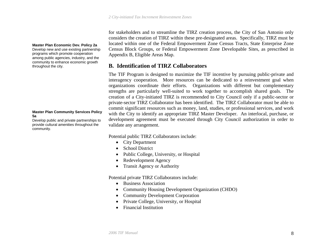<span id="page-7-0"></span>**Master Plan Economic Dev. Policy 2a**  Develop new and use existing partnership programs which promote cooperation among public agencies, industry, and the

community to enhance economic growth throughout the city.

#### **Master Plan Community Services Policy 5a**

Develop public and private partnerships to provide cultural amenities throughout the community.

for stakeholders and to streamline the TIRZ creation process, the City of San Antonio only considers the creation of TIRZ within these pre-designated areas. Specifically, TIRZ must be located within one of the Federal Empowerment Zone Census Tracts, State Enterprise Zone Census Block Groups, or Federal Empowerment Zone Developable Sites, as prescribed in Appendix B, Eligible Areas Map.

# **B. Identification of TIRZ Collaborators**

The TIF Program is designed to maximize the TIF incentive by pursuing public-private and interagency cooperation. More resources can be dedicated to a reinvestment goal when organizations coordinate their efforts. Organizations with different but complementary strengths are particularly well-suited to work together to accomplish shared goals. The creation of a City-initiated TIRZ is recommended to City Council only if a public-sector or private-sector TIRZ Collaborator has been identified. The TIRZ Collaborator must be able to commit significant resources such as money, land, studies, or professional services, and work with the City to identify an appropriate TIRZ Master Developer. An interlocal, purchase, or development agreement must be executed through City Council authorization in order to validate any arrangement.

Potential public TIRZ Collaborators include:

- City Department
- School District
- Public College, University, or Hospital
- Redevelopment Agency
- Transit Agency or Authority

Potential private TIRZ Collaborators include:

- Business Association
- Community Housing Development Organization (CHDO)
- Community Development Corporation
- Private College, University, or Hospital
- Financial Institution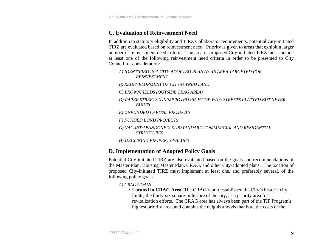# <span id="page-8-0"></span>**C. Evaluation of Reinvestment Need**

In addition to statutory eligibility and TIRZ Collaborator requirements, potential City-initiated TIRZ are evaluated based on reinvestment need. Priority is given to areas that exhibit a larger number of reinvestment need criteria. The area of proposed City-initiated TIRZ must include at least one of the following reinvestment need criteria in order to be presented to City Council for consideration:

- *A) IDENTIFIED IN A CITY-ADOPTED PLAN AS AN AREA TARGETED FOR REINVESTMENT*
- *B) REDEVELOPMENT OF CITY-OWNED LAND*
- *C) BROWNFIELDS (OUTSIDE CRAG AREA)*
- *D) PAPER STREETS (UNIMPROVED RIGHT OF WAY; STREETS PLATTED BUT NEVER BUILT)*
- *E) UNFUNDED CAPITAL PROJECTS*
- *F) FUNDED BOND PROJECTS*
- *G) VACANT/ABANDONED/ SUBSTANDARD COMMERCIAL AND RESIDENTIAL STRUCTURES*
- *H) DECLINING PROPERTY VALUES*

# **D. Implementation of Adopted Policy Goals**

Potential City-initiated TIRZ are also evaluated based on the goals and recommendations of the Master Plan, Housing Master Plan, CRAG, and other City-adopted plans. The location of proposed City-initiated TIRZ must implement at least one, and preferably several, of the following policy goals.

*A) CRAG GOALS* 

 **Located in CRAG Area**: The CRAG report established the City's historic city limits, the thirty-six square-mile core of the city, as a priority area for revitalization efforts. The CRAG area has always been part of the TIF Program's highest priority area, and contains the neighborhoods that bore the costs of the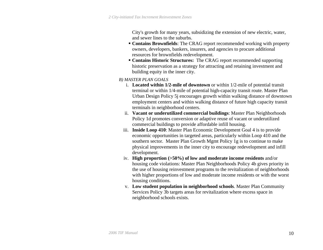City's growth for many years, subsidizing the extension of new electric, water, and sewer lines to the suburbs.

- **Contains Brownfields**: The CRAG report recommended working with property owners, developers, bankers, insurers, and agencies to procure additional resources for brownfields redevelopment.
- **Contains Historic Structures:** The CRAG report recommended supporting historic preservation as a strategy for attracting and retaining investment and building equity in the inner city.
- *B) MASTER PLAN GOALS* 
	- i. **Located within 1/2-mile of downtown** or within 1/2-mile of potential transit terminal or within 1/4-mile of potential high-capacity transit route. Master Plan Urban Design Policy 5j encourages growth within walking distance of downtown employment centers and within walking distance of future high capacity transit terminals in neighborhood centers.
	- ii. **Vacant or underutilized commercial buildings**: Master Plan Neighborhoods Policy 1d promotes conversion or adaptive reuse of vacant or underutilized commercial buildings to provide affordable infill housing.
	- iii. **Inside Loop 410**: Master Plan Economic Development Goal 4 is to provide economic opportunities in targeted areas, particularly within Loop 410 and the southern sector. Master Plan Growth Mgmt Policy 1g is to continue to make physical improvements in the inner city to encourage redevelopment and infill development.
	- iv. **High proportion (>50%) of low and moderate income residents** and/or housing code violations: Master Plan Neighborhoods Policy 4b gives priority in the use of housing reinvestment programs to the revitalization of neighborhoods with higher proportions of low and moderate income residents or with the worst housing conditions.
	- v. **Low student population in neighborhood schools**. Master Plan Community Services Policy 3b targets areas for revitalization where excess space in neighborhood schools exists.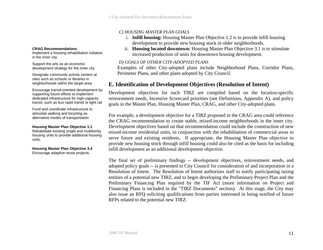#### *C) HOUSING MASTER PLAN GOALS*

- i. **Infill housing:** Housing Master Plan Objective 1.2 is to provide infill housing development to provide new housing stock in older neighborhoods.
- ii. **Housing located downtown:** Housing Master Plan Objective 3.1 is to stimulate increased production of units for downtown housing development.

### *D) GOALS OF OTHER CITY-ADOPTED PLANS*

Examples of other City-adopted plans include Neighborhood Plans, Corridor Plans, Perimeter Plans, and other plans adopted by City Council.

# **E. Identification of Development Objectives (Resolution of Intent)**

Development objectives for each TIRZ are compiled based on the location-specific reinvestment needs, Incentive Scorecard priorities (see Definitions, Appendix A), and policy goals in the Master Plan, Housing Master Plan, CRAG, and other City-adopted plans.

For example, a development objective for a TIRZ proposed in the CRAG area could reference the CRAG recommendation to create stable, mixed-income neighborhoods in the inner city. Development objectives based on that recommendation could include the construction of new mixed-income residential units, in conjunction with the rehabilitation of commercial areas to serve future and existing residents. If appropriate, the Housing Master Plan objective to provide new housing stock through infill housing could also be cited as the basis for including infill development as an additional development objective.

The final set of preliminary findings -- development objectives, reinvestment needs, and adopted policy goals -- is presented to City Council for consideration of and incorporation in a Resolution of Intent. The Resolution of Intent authorizes staff to notify participating taxing entities of a potential new TIRZ, and to begin developing the Preliminary Project Plan and the Preliminary Financing Plan required by the TIF Act (more information on Project and Financing Plans is included in the "TIRZ Documents" section). At this stage, the City may also issue an RFQ soliciting qualifications from parties interested in being notified of future RFPs related to the potential new TIRZ.

#### <span id="page-10-0"></span>**CRAG Recommendations**

Implement a housing rehabilitation initiative in the inner city

Support the arts as an economic development strategy for the inner city

Designate community activity centers at sites such as schools or libraries in neighborhoods within the target area

Encourage transit-oriented development by supporting future efforts to implement dedicated infrastructure for high-capacity transit, such as bus rapid transit or light rail

Fund and coordinate infrastructure to stimulate walking and bicycling as alternative modes of transportation

#### **Housing Master Plan Objective 1.1**

Rehabilitate existing single and multifamily housing units to provide additional housing units.

**Housing Master Plan Objective 3.4**  Encourage adaptive reuse projects.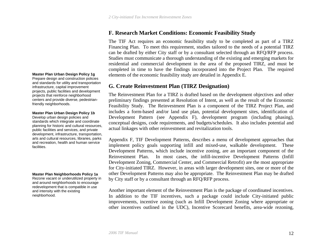# **F. Research Market Conditions: Economic Feasibility Study**

The TIF Act requires an economic feasibility study to be completed as part of a TIRZ Financing Plan. To meet this requirement, studies tailored to the needs of a potential TIRZ can be drafted by either City staff or by a consultant selected through an RFQ/RFP process. Studies must communicate a thorough understanding of the existing and emerging markets for residential and commercial development in the area of the proposed TIRZ, and must be completed in time to have the findings incorporated into the Project Plan. The required elements of the economic feasibility study are detailed in Appendix E.

# **G. Create Reinvestment Plan (TIRZ Designation)**

The Reinvestment Plan for a TIRZ is drafted based on the development objectives and other preliminary findings presented at Resolution of Intent, as well as the result of the Economic Feasibility Study. The Reinvestment Plan is a component of the TIRZ Project Plan, and includes a form-based and/or land use plan, potential development sites, identification of Development Pattern (see Appendix F), development program (including phasing), conceptual designs, code requirements, and budgets/schedules. It also includes potential and actual linkages with other reinvestment and revitalization tools.

Appendix F, TIF Development Patterns, describes a menu of development approaches that implement policy goals supporting infill and mixed-use, walkable development. These Development Patterns, which include incentive zoning, are an important component of the Reinvestment Plan. In most cases, the infill-incentive Development Patterns (Infill Development Zoning, Commercial Center, and Commercial Retrofit) are the most appropriate for City-initiated TIRZ. However, in areas with larger development sites, one or more of the other Development Patterns may also be appropriate. The Reinvestment Plan may be drafted by City staff or by a consultant through an RFQ/RFP process.

Another important element of the Reinvestment Plan is the package of coordinated incentives. In addition to the TIF incentives, such a package could include City-initiated public improvements, incentive zoning (such as Infill Development Zoning where appropriate or other incentives outlined in the UDC), Incentive Scorecard benefits, area-wide rezoning,

#### <span id="page-11-0"></span>**Master Plan Urban Design Policy 1g**

Prepare design and construction policies and standards for utility and transportation infrastructure, capital improvement projects, public facilities and development projects that reinforce neighborhood centers and provide diverse, pedestrianfriendly neighborhoods.

#### **Master Plan Urban Design Policy 1b**

Develop urban design policies and standards which integrate and coordinate planning for historic and cultural resources, public facilities and services, and private development, infrastructure, transportation, arts and cultural resources, libraries, parks and recreation, health and human service facilities.

#### **Master Plan Neighborhoods Policy 1a**

Rezone vacant or underutilized property in and around neighborhoods to encourage redevelopment that is compatible in use and intensity with the existing neighborhood.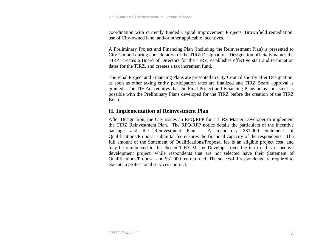<span id="page-12-0"></span>coordination with currently funded Capital Improvement Projects, Brownfield remediation, use of City-owned land, and/or other applicable incentives.

A Preliminary Project and Financing Plan (including the Reinvestment Plan) is presented to City Council during consideration of the TIRZ Designation. Designation officially names the TIRZ, creates a Board of Directors for the TIRZ, establishes effective start and termination dates for the TIRZ, and creates a tax increment fund.

The Final Project and Financing Plans are presented to City Council shortly after Designation, as soon as other taxing entity participation rates are finalized and TIRZ Board approval is granted. The TIF Act requires that the Final Project and Financing Plans be as consistent as possible with the Preliminary Plans developed for the TIRZ before the creation of the TIRZ Board.

# **H. Implementation of Reinvestment Plan**

After Designation, the City issues an RFQ/RFP for a TIRZ Master Developer to implement the TIRZ Reinvestment Plan. The RFQ/RFP notice details the particulars of the incentive package and the Reinvestment Plan. A mandatory \$31,000 Statement of Qualifications/Proposal submittal fee ensures the financial capacity of the respondents. The full amount of the Statement of Qualifications/Proposal fee is an eligible project cost, and may be reimbursed to the chosen TIRZ Master Developer over the term of his respective development project, while respondents that are not selected have their Statement of Qualifications/Proposal and \$31,000 fee returned. The successful respondents are required to execute a professional services contract.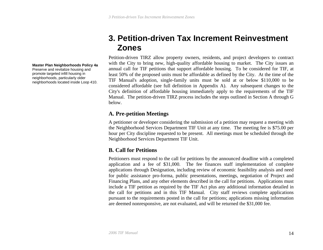# **3. Petition-driven Tax Increment Reinvestment Zones**

Petition-driven TIRZ allow property owners, residents, and project developers to contract with the City to bring new, high-quality affordable housing to market. The City issues an annual call for TIF petitions that support affordable housing. To be considered for TIF, at least 50% of the proposed units must be affordable as defined by the City. At the time of the TIF Manual's adoption, single-family units must be sold at or below \$110,000 to be considered affordable (see full definition in Appendix A). Any subsequent changes to the City's definition of affordable housing immediately apply to the requirements of the TIF Manual. The petition-driven TIRZ process includes the steps outlined in Section A through G below.

# **A. Pre-petition Meetings**

A petitioner or developer considering the submission of a petition may request a meeting with the Neighborhood Services Department TIF Unit at any time. The meeting fee is \$75.00 per hour per City discipline requested to be present. All meetings must be scheduled through the Neighborhood Services Department TIF Unit.

# **B. Call for Petitions**

Petitioners must respond to the call for petitions by the announced deadline with a completed application and a fee of \$31,000. The fee finances staff implementation of complete applications through Designation, including review of economic feasibility analysis and need for public assistance pro-forma, public presentations, meetings, negotiation of Project and Financing Plans, and any other elements described in the call for petitions. Applications must include a TIF petition as required by the TIF Act plus any additional information detailed in the call for petitions and in this TIF Manual. City staff reviews complete applications pursuant to the requirements posted in the call for petitions; applications missing information are deemed nonresponsive, are not evaluated, and will be returned the \$31,000 fee.

#### <span id="page-13-0"></span>**Master Plan Neighborhoods Policy 4a**

Preserve and revitalize housing and promote targeted infill housing in neighborhoods, particularly older neighborhoods located inside Loop 410.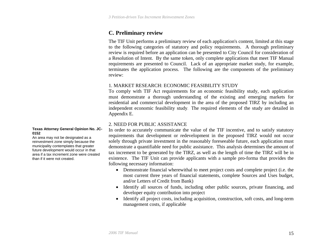# <span id="page-14-0"></span>**C. Preliminary review**

The TIF Unit performs a preliminary review of each application's content, limited at this stage to the following categories of statutory and policy requirements. A thorough preliminary review is required before an application can be presented to City Council for consideration of a Resolution of Intent. By the same token, only complete applications that meet TIF Manual requirements are presented to Council. Lack of an appropriate market study, for example, terminates the application process. The following are the components of the preliminary review:

#### 1.MARKET RESEARCH: ECONOMIC FEASIBILITY STUDY

To comply with TIF Act requirements for an economic feasibility study, each application must demonstrate a thorough understanding of the existing and emerging markets for residential and commercial development in the area of the proposed TIRZ by including an independent economic feasibility study. The required elements of the study are detailed in Appendix E.

### 2.NEED FOR PUBLIC ASSISTANCE

In order to accurately communicate the value of the TIF incentive, and to satisfy statutory requirements that development or redevelopment in the proposed TIRZ would not occur solely through private investment in the reasonably foreseeable future, each application must demonstrate a quantifiable need for public assistance. This analysis determines the amount of tax increment to be generated by the TIRZ, as well as the length of time the TIRZ will be in existence. The TIF Unit can provide applicants with a sample pro-forma that provides the following necessary information:

- Demonstrate financial wherewithal to meet project costs and complete project (i.e. the most current three years of financial statements, complete Sources and Uses budget, and/or Letters of Credit from Bank)
- Identify all sources of funds, including other public sources, private financing, and developer equity contribution into project
- Identify all project costs, including acquisition, construction, soft costs, and long-term management costs, if applicable

#### **Texas Attorney General Opinion No. JC-0152**

An area may not be designated as a reinvestment zone simply because the municipality contemplates that greater future development would occur in that area if a tax increment zone were created than if it were not created.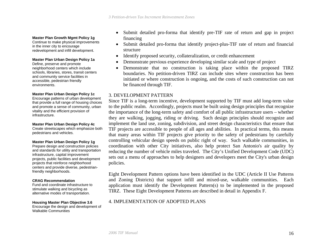# **Master Plan Growth Mgmt Policy 1g financing**<br>Continue to make physical improvements and a set of the start

in the inner city to encourage redevelopment and infill development.

#### **Master Plan Urban Design Policy 1a**

Define, preserve and promote neighborhood centers which include schools, libraries, stores, transit centers and community service facilities in accessible, pedestrian friendly environments.

#### **Master Plan Urban Design Policy 1c**

Encourage patterns of urban development that provide a full range of housing choices and promote a sense of community, urban vitality and the efficient provision of infrastructure.

#### **Master Plan Urban Design Policy 4c**

Create streetscapes which emphasize both pedestrians and vehicles.

#### **Master Plan Urban Design Policy 1g**

Prepare design and construction policies and standards for utility and transportation infrastructure, capital improvement projects, public facilities and development projects that reinforce neighborhood centers and provide diverse, pedestrianfriendly neighborhoods.

#### **CRAG Recommendation**

Fund and coordinate infrastructure to stimulate walking and bicycling as alternative modes of transportation.

**Housing Master Plan Objective 3.6**  Encourage the design and development of Walkable Communities

- $\bullet$ Submit detailed pro-forma that identify pre-TIF rate of return and gap in project
- $\bullet$  Submit detailed pro-forma that identify project-plus-TIF rate of return and financial structure
- •Identify proposed security, collateralization, or credit enhancement
- •Demonstrate previous experience developing similar scale and type of project
- • Demonstrate that no construction is taking place within the proposed TIRZ boundaries. No petition-driven TIRZ can include sites where construction has been initiated or where construction is ongoing, and the costs of such construction can not be financed through TIF.

#### 3.DEVELOPMENT PATTERN

Since TIF is a long-term incentive, development supported by TIF must add long-term value to the public realm. Accordingly, projects must be built using design principles that recognize the importance of the long-term safety and comfort of all public infrastructure users – whether they are walking, jogging, riding or driving. Such design principles should recognize and implement the land use, zoning, subdivision, and street design characteristics that ensure that TIF projects are accessible to people of all ages and abilities. In practical terms, this means that many areas within TIF projects give priority to the safety of pedestrians by carefully controlling vehicular design speeds on public right of way. Such walkable communities, in coordination with other City initiatives, also help protect San Antonio's air quality by reducing the number of vehicle miles traveled. The City's Unified Development Code (UDC) sets out a menu of approaches to help designers and developers meet the City's urban design policies.

Eight Development Pattern options have been identified in the UDC (Article II Use Patterns and Zoning Districts) that support infill and mixed-use, walkable communities. Each application must identify the Development Pattern(s) to be implemented in the proposed TIRZ. These Eight Development Patterns are described in detail in Appendix F.

#### 4.IMPLEMENTATION OF ADOPTED PLANS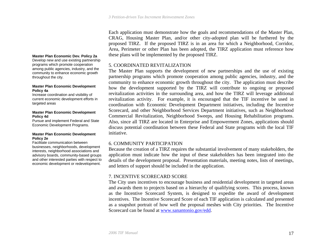Each application must demonstrate how the goals and recommendations of the Master Plan, CRAG, Housing Master Plan, and/or other city-adopted plan will be furthered by the proposed TIRZ. If the proposed TIRZ is in an area for which a Neighborhood, Corridor, Area, Perimeter or other Plan has been adopted, the TIRZ application must reference how **Master Plan Economic Dev. Policy 2a** these plans will be implemented by the proposed TIRZ.

#### 5.COORDINATED REVITALIZATION

The Master Plan supports the development of new partnerships and the use of existing partnership programs which promote cooperation among public agencies, industry, and the community to enhance economic growth throughout the city. The application must describe how the development supported by the TIRZ will contribute to ongoing or proposed revitalization activities in the surrounding area, and how the TIRZ will leverage additional revitalization activity. For example, it is encouraged that the TIF incentive be used in coordination with Economic Development Department initiatives, including the Incentive Scorecard, and other Neighborhood Services Department initiatives, such as Neighborhood Commercial Revitalization, Neighborhood Sweeps, and Housing Rehabilitation programs. Also, since all TIRZ are located in Enterprise and Empowerment Zones, applications should discuss potential coordination between these Federal and State programs with the local TIF initiative.

## 6.COMMUNITY PARTICIPATION

Because the creation of a TIRZ requires the substantial involvement of many stakeholders, the application must indicate how the input of these stakeholders has been integrated into the details of the development proposal. Presentation materials, meeting notes, lists of meetings, and letters of support should be included in the application.

## 7.INCENTIVE SCORECARD SCORE

The City uses incentives to encourage business and residential development in targeted areas and awards them to projects based on a hierarchy of qualifying scores. This process, known as the Incentive Scorecard System, is designed to expedite the award of development incentives. The Incentive Scorecard Score of each TIF application is calculated and presented as a snapshot portrait of how well the proposal meshes with City priorities. The Incentive Scorecard can be found at [www.sanantonio.gov/edd](http://www.sanantonio.gov/edd).

Develop new and use existing partnership programs which promote cooperation among public agencies, industry, and the community to enhance economic growth throughout the city.

#### **Master Plan Economic Development Policy 4a**

Increase coordination and visibility of current economic development efforts in targeted areas

#### **Master Plan Economic Development Policy 4d**

Pursue and implement Federal and State Economic Development Programs.

#### **Master Plan Economic Development Policy 2e**

Facilitate communication between businesses, neighborhoods, development interests, neighborhood associations and advisory boards, community-based groups and other interested parties with respect to economic development or redevelopment.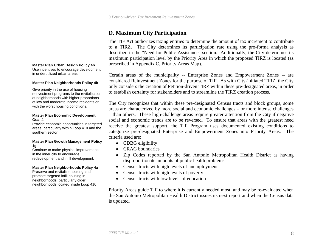# **D. Maximum City Participation**

The TIF Act authorizes taxing entities to determine the amount of tax increment to contribute to a TIRZ. The City determines its participation rate using the pro-forma analysis as described in the "Need for Public Assistance" section. Additionally, the City determines its maximum participation level by the Priority Area in which the proposed TIRZ is located (as prescribed in Appendix C, Priority Areas Map).

Certain areas of the municipality -- Enterprise Zones and Empowerment Zones -- are considered Reinvestment Zones for the purpose of TIF. As with City-initiated TIRZ, the City only considers the creation of Petition-driven TIRZ within these pre-designated areas, in order to establish certainty for stakeholders and to streamline the TIRZ creation process.

The City recognizes that within these pre-designated Census tracts and block groups, some areas are characterized by more social and economic challenges – or more intense challenges – than others. These high-challenge areas require greater attention from the City if negative social and economic trends are to be reversed. To ensure that areas with the greatest need receive the greatest support, the TIF Program uses documented existing conditions to categorize pre-designated Enterprise and Empowerment Zones into Priority Areas. The criteria used are:

- CDBG eligibility
- •CRAG boundaries
- • Zip Codes reported by the San Antonio Metropolitan Health District as having disproportionate amounts of public health problems
- Census tracts with high levels of unemployment
- Census tracts with high levels of poverty
- Census tracts with low levels of education

Priority Areas guide TIF to where it is currently needed most, and may be re-evaluated when the San Antonio Metropolitan Health District issues its next report and when the Census data is updated.

#### <span id="page-17-0"></span>**Master Plan Urban Design Policy 4b**

Use incentives to encourage development in underutilized urban areas.

#### **Master Plan Neighborhoods Policy 4b**

Give priority in the use of housing reinvestment programs to the revitalization of neighborhoods with higher proportions of low and moderate income residents or with the worst housing conditions.

#### **Master Plan Economic Development Goal 4**

Provide economic opportunities in targeted areas, particularly within Loop 410 and the southern sector

#### **Master Plan Growth Management Policy 1g**

Continue to make physical improvements in the inner city to encourage redevelopment and infill development.

#### **Master Plan Neighborhoods Policy 4a**

Preserve and revitalize housing and promote targeted infill housing in neighborhoods, particularly older neighborhoods located inside Loop 410.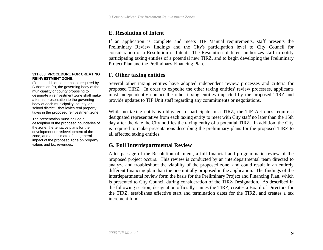# **E. Resolution of Intent**

If an application is complete and meets TIF Manual requirements, staff presents the Preliminary Review findings and the City's participation level to City Council for consideration of a Resolution of Intent. The Resolution of Intent authorizes staff to notify participating taxing entities of a potential new TIRZ, and to begin developing the Preliminary Project Plan and the Preliminary Financing Plan.

# **F. Other taxing entities**

Several other taxing entities have adopted independent review processes and criteria for proposed TIRZ. In order to expedite the other taxing entities' review processes, applicants must independently contact the other taxing entities impacted by the proposed TIRZ and provide updates to TIF Unit staff regarding any commitments or negotiations.

While no taxing entity is obligated to participate in a TIRZ, the TIF Act does require a designated representative from each taxing entity to meet with City staff no later than the 15th day after the date the City notifies the taxing entity of a potential TIRZ. In addition, the City is required to make presentations describing the preliminary plans for the proposed TIRZ to all affected taxing entities.

# **G. Full Interdepartmental Review**

After passage of the Resolution of Intent, a full financial and programmatic review of the proposed project occurs. This review is conducted by an interdepartmental team directed to analyze and troubleshoot the viability of the proposed zone, and could result in an entirely different financing plan than the one initially proposed in the application. The findings of the interdepartmental review form the basis for the Preliminary Project and Financing Plan, which is presented to City Council during consideration of the TIRZ Designation. As described in the following section, designation officially names the TIRZ, creates a Board of Directors for the TIRZ, establishes effective start and termination dates for the TIRZ, and creates a tax increment fund.

#### <span id="page-18-0"></span>**311.003. PROCEDURE FOR CREATING REINVESTMENT ZONE.**

(f) … In addition to the notice required by Subsection (e), the governing body of the municipality or county proposing to designate a reinvestment zone shall make a formal presentation to the governing body of each municipality, county, or school district…that levies real property taxes in the proposed reinvestment zone.

The presentation must include a description of the proposed boundaries of the zone, the tentative plans for the development or redevelopment of the zone, and an estimate of the general impact of the proposed zone on property values and tax revenues.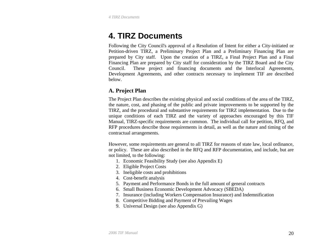# <span id="page-19-0"></span>**4. TIRZ Documents**

Following the City Council's approval of a Resolution of Intent for either a City-initiated or Petition-driven TIRZ, a Preliminary Project Plan and a Preliminary Financing Plan are prepared by City staff. Upon the creation of a TIRZ, a Final Project Plan and a Final Financing Plan are prepared by City staff for consideration by the TIRZ Board and the City Council. These project and financing documents and the Interlocal Agreements, Development Agreements, and other contracts necessary to implement TIF are described below.

# **A. Project Plan**

The Project Plan describes the existing physical and social conditions of the area of the TIRZ, the nature, cost, and phasing of the public and private improvements to be supported by the TIRZ, and the procedural and substantive requirements for TIRZ implementation. Due to the unique conditions of each TIRZ and the variety of approaches encouraged by this TIF Manual, TIRZ-specific requirements are common. The individual call for petition, RFQ, and RFP procedures describe those requirements in detail, as well as the nature and timing of the contractual arrangements.

However, some requirements are general to all TIRZ for reasons of state law, local ordinance, or policy. These are also described in the RFQ and RFP documentation, and include, but are not limited, to the following:

- 1. Economic Feasibility Study (see also Appendix E)
- 2. Eligible Project Costs
- 3. Ineligible costs and prohibitions
- 4. Cost-benefit analysis
- 5. Payment and Performance Bonds in the full amount of general contracts
- 6. Small Business Economic Development Advocacy (SBEDA)
- 7. Insurance (including Workers Compensation Insurance) and Indemnification
- 8. Competitive Bidding and Payment of Prevailing Wages
- 9. Universal Design (see also Appendix G)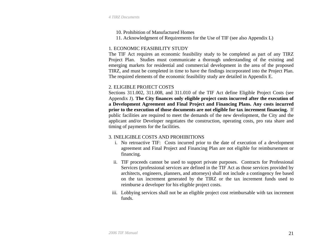## 10. Prohibition of Manufactured Homes

11. Acknowledgment of Requirements for the Use of TIF (see also Appendix L)

# 1. ECONOMIC FEASIBILITY STUDY

The TIF Act requires an economic feasibility study to be completed as part of any TIRZ Project Plan. Studies must communicate a thorough understanding of the existing and emerging markets for residential and commercial development in the area of the proposed TIRZ, and must be completed in time to have the findings incorporated into the Project Plan. The required elements of the economic feasibility study are detailed in Appendix E.

# 2.ELIGIBLE PROJECT COSTS

Sections 311.002, 311.008, and 311.010 of the TIF Act define Eligible Project Costs (see Appendix J). **The City finances only eligible project costs incurred after the execution of a Development Agreement and Final Project and Financing Plans. Any costs incurred prior to the execution of those documents are not eligible for tax increment financing.** If public facilities are required to meet the demands of the new development, the City and the applicant and/or Developer negotiates the construction, operating costs, pro rata share and timing of payments for the facilities.

## 3.INELIGIBLE COSTS AND PROHIBITIONS

- i. No retroactive TIF: Costs incurred prior to the date of execution of a development agreement and Final Project and Financing Plan are not eligible for reimbursement or financing.
- ii. TIF proceeds cannot be used to support private purposes. Contracts for Professional Services (professional services are defined in the TIF Act as those services provided by architects, engineers, planners, and attorneys) shall not include a contingency fee based on the tax increment generated by the TIRZ or the tax increment funds used to reimburse a developer for his eligible project costs.
- iii. Lobbying services shall not be an eligible project cost reimbursable with tax increment funds.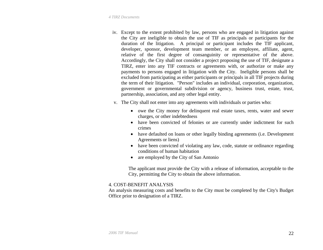- iv. Except to the extent prohibited by law, persons who are engaged in litigation against the City are ineligible to obtain the use of TIF as principals or participants for the duration of the litigation. A principal or participant includes the TIF applicant, developer, sponsor, development team member, or an employee, affiliate, agent, relative of the first degree of consanguinity or representative of the above. Accordingly, the City shall not consider a project proposing the use of TIF, designate a TIRZ, enter into any TIF contracts or agreements with, or authorize or make any payments to persons engaged in litigation with the City. Ineligible persons shall be excluded from participating as either participants or principals in all TIF projects during the term of their litigation. "Person" includes an individual, corporation, organization, government or governmental subdivision or agency, business trust, estate, trust, partnership, association, and any other legal entity.
- v. The City shall not enter into any agreements with individuals or parties who:
	- owe the City money for delinquent real estate taxes, rents, water and sewer charges, or other indebtedness
	- have been convicted of felonies or are currently under indictment for such crimes
	- have defaulted on loans or other legally binding agreements (i.e. Development Agreements or liens)
	- have been convicted of violating any law, code, statute or ordinance regarding conditions of human habitation
	- are employed by the City of San Antonio

The applicant must provide the City with a release of information, acceptable to the City, permitting the City to obtain the above information.

## 4. COST-BENEFIT ANALYSIS

An analysis measuring costs and benefits to the City must be completed by the City's Budget Office prior to designation of a TIRZ.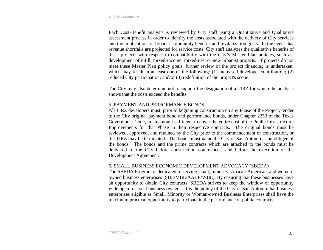Each Cost-Benefit analysis is reviewed by City staff using a Quantitative and Qualitative assessment process in order to identify the costs associated with the delivery of City services and the implications of broader community benefits and revitalization goals. In the event that revenue shortfalls are projected for service costs, City staff analyzes the qualitative benefits of these projects with respect to compatibility with the City's Master Plan policies, such as: development of infill, mixed-income, mixed-use, or new urbanist projects. If projects do not meet these Master Plan policy goals, further review of the project financing is undertaken, which may result in at least one of the following: (1) increased developer contribution; (2) reduced City participation; and/or (3) redefinition of the project's scope.

The City may also determine not to support the designation of a TIRZ for which the analysis shows that the costs exceed the benefits.

### 5. PAYMENT AND PERFORMANCE BONDS

All TIRZ developers must, prior to beginning construction on any Phase of the Project, tender to the City original payment bond and performance bonds, under Chapter 2253 of the Texas Government Code, in an amount sufficient to cover the entire cost of the Public Infrastructure Improvements for that Phase in their respective contracts. The original bonds must be reviewed, approved, and retained by the City prior to the commencement of construction, or the TIRZ may be terminated. The bonds must name the City of San Antonio as an obligee of the bonds. The bonds and the prime contracts which are attached to the bonds must be delivered to the City before construction commences, and before the execution of the Development Agreement.

#### 6. SMALL BUSINESS ECONOMIC DEVELOPMENT ADVOCACY (SBEDA)

The SBEDA Program is dedicated to serving small, minority, African-American, and womenowned business enterprises (SBE/MBE/AABE/WBE). By ensuring that these businesses have an opportunity to obtain City contracts, SBEDA strives to keep the window of opportunity wide open for local business owners. It is the policy of the City of San Antonio that business enterprises eligible as Small, Minority or Woman-owned Business Enterprises shall have the maximum practical opportunity to participate in the performance of public contracts.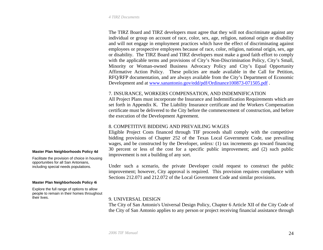The TIRZ Board and TIRZ developers must agree that they will not discriminate against any individual or group on account of race, color, sex, age, religion, national origin or disability and will not engage in employment practices which have the effect of discriminating against employees or prospective employees because of race, color, religion, national origin, sex, age or disability. The TIRZ Board and TIRZ developers must make a good faith effort to comply with the applicable terms and provisions of City's Non-Discrimination Policy, City's Small, Minority or Woman-owned Business Advocacy Policy and City's Equal Opportunity Affirmative Action Policy. These policies are made available in the Call for Petition, RFQ/RFP documentation, and are always available from the City's Department of Economic Development and at [www.sanantonio.gov/edd/pdf/Ordinance100873-071505.pdf](http://www.sanantonio.gov/edd/pdf/Ordinance100873-071505.pdf) .

#### 7. INSURANCE, WORKERS COMPENSATION, AND INDEMNIFICATION

All Project Plans must incorporate the Insurance and Indemnification Requirements which are set forth in Appendix K. The Liability Insurance certificate and the Workers Compensation certificate must be delivered to the City before the commencement of construction, and before the execution of the Development Agreement.

#### 8.COMPETITIVE BIDDING AND PREVAILING WAGES

Eligible Project Costs financed through TIF proceeds shall comply with the competitive bidding provisions of Chapter 252 of the Texas Local Government Code, use prevailing wages, and be constructed by the Developer, *unless:* (1) tax increments go toward financing 30 percent or less of the cost for a specific public improvement; and (2) such public improvement is not a building of any sort.

Under such a scenario, the private Developer could request to construct the public improvement; however, City approval is required. This provision requires compliance with Sections 212.071 and 212.072 of the Local Government Code and similar provisions.

#### 9. UNIVERSAL DESIGN

The City of San Antonio's Universal Design Policy, Chapter 6 Article XII of the City Code of the City of San Antonio applies to any person or project receiving financial assistance through

#### **Master Plan Neighborhoods Policy 4d**

Facilitate the provision of choice in housing opportunities for all San Antonians, including special needs populations.

#### **Master Plan Neighborhoods Policy 4i**

Explore the full range of options to allow people to remain in their homes throughout their lives.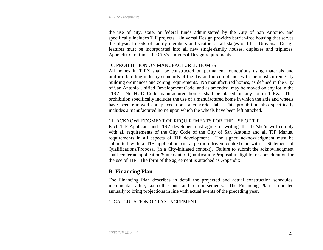<span id="page-24-0"></span>the use of city, state, or federal funds administered by the City of San Antonio, and specifically includes TIF projects. Universal Design provides barrier-free housing that serves the physical needs of family members and visitors at all stages of life. Universal Design features must be incorporated into all new single-family houses, duplexes and triplexes. Appendix G outlines the City's Universal Design requirements.

#### 10.PROHIBITION ON MANUFACTURED HOMES

All homes in TIRZ shall be constructed on permanent foundations using materials and uniform building industry standards of the day and in compliance with the most current City building ordinances and zoning requirements. No manufactured homes, as defined in the City of San Antonio Unified Development Code, and as amended, may be moved on any lot in the TIRZ. No HUD Code manufactured homes shall be placed on any lot in TIRZ. This prohibition specifically includes the use of a manufactured home in which the axle and wheels have been removed and placed upon a concrete slab. This prohibition also specifically includes a manufactured home upon which the wheels have been left attached.

## 11. ACKNOWLEDGMENT OF REQUIREMENTS FOR THE USE OF TIF

Each TIF Applicant and TIRZ developer must agree, in writing, that he/she/it will comply with all requirements of the City Code of the City of San Antonio and all TIF Manual requirements in all aspects of TIF development. The signed acknowledgment must be submitted with a TIF application (in a petition-driven context) or with a Statement of Qualifications/Proposal (in a City-initiated context). Failure to submit the acknowledgment shall render an application/Statement of Qualification/Proposal ineligible for consideration for the use of TIF. The form of the agreement is attached as Appendix L.

# **B. Financing Plan**

The Financing Plan describes in detail the projected and actual construction schedules, incremental value, tax collections, and reimbursements. The Financing Plan is updated annually to bring projections in line with actual events of the preceding year.

# 1.CALCULATION OF TAX INCREMENT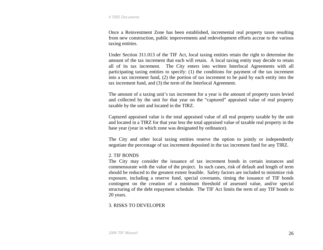Once a Reinvestment Zone has been established, incremental real property taxes resulting from new construction, public improvements and redevelopment efforts accrue to the various taxing entities.

Under Section 311.013 of the TIF Act, local taxing entities retain the right to determine the amount of the tax increment that each will retain. A local taxing entity may decide to retain all of its tax increment. The City enters into written Interlocal Agreements with all participating taxing entities to specify: (1) the conditions for payment of the tax increment into a tax increment fund, (2) the portion of tax increment to be paid by each entity into the tax increment fund, and (3) the term of the Interlocal Agreement.

The amount of a taxing unit's tax increment for a year is the amount of property taxes levied and collected by the unit for that year on the "captured" appraised value of real property taxable by the unit and located in the TIRZ.

Captured appraised value is the total appraised value of all real property taxable by the unit and located in a TIRZ for that year less the total appraised value of taxable real property in the base year (year in which zone was designated by ordinance).

The City and other local taxing entities reserve the option to jointly or independently negotiate the percentage of tax increment deposited in the tax increment fund for any TIRZ.

#### 2.TIF BONDS

The City may consider the issuance of tax increment bonds in certain instances and commensurate with the value of the project. In such cases, risk of default and length of term should be reduced to the greatest extent feasible. Safety factors are included to minimize risk exposure, including a reserve fund, special covenants, timing the issuance of TIF bonds contingent on the creation of a minimum threshold of assessed value, and/or special structuring of the debt repayment schedule. The TIF Act limits the term of any TIF bonds to 20 years.

## 3.RISKS TO DEVELOPER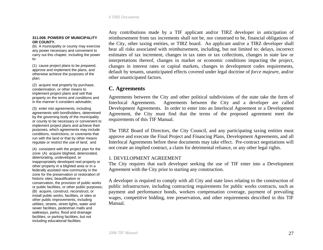#### <span id="page-26-0"></span>**311.008. POWERS OF MUNICIPALITY OR COUNTY.**

(b) A municipality or county may exercise any power necessary and convenient to carry out this chapter, including the power to:

(1) cause project plans to be prepared, approve and implement the plans, and otherwise achieve the purposes of the plan;

(2) acquire real property by purchase, condemnation, or other means to implement project plans and sell that property on the terms and conditions and in the manner it considers advisable;

(3) enter into agreements, including agreements with bondholders, determined by the governing body of the municipality or county to be necessary or convenient to implement project plans and achieve their purposes, which agreements may include conditions, restrictions, or covenants that run with the land or that by other means regulate or restrict the use of land; and

(4) consistent with the project plan for the zone: (A) acquire blighted, deteriorated, deteriorating, undeveloped, or inappropriately developed real property or other property in a blighted area or in a federally assisted new community in the zone for the preservation or restoration of historic sites, beautification or conservation, the provision of public works or public facilities, or other public purposes; (B) acquire, construct, reconstruct, or install public works, facilities, or sites or other public improvements, including utilities, streets, street lights, water and sewer facilities, pedestrian malls and walkways, parks, flood and drainage facilities, or parking facilities, but not including educational facilities

Any contributions made by a TIF applicant and/or TIRZ developer in anticipation of reimbursement from tax increments shall not be, nor construed to be, financial obligations of the City, other taxing entities, or TIRZ board. An applicant and/or a TIRZ developer shall bear all risks associated with reimbursement, including, but not limited to: delays, incorrect estimates of tax increment, changes in tax rates or tax collections, changes in state law or interpretations thereof, changes in market or economic conditions impacting the project, changes in interest rates or capital markets, changes in development codes requirements, default by tenants, unanticipated effects covered under legal doctrine of *force majeur*e, and/or other unanticipated factors.

# **C. Agreements**

Agreements between the City and other political subdivisions of the state take the form of Interlocal Agreements. Agreements between the City and a developer are called Development Agreements. In order to enter into an Interlocal Agreement or a Development Agreement, the City must find that the terms of the proposed agreement meet the requirements of this TIF Manual.

The TIRZ Board of Directors, the City Council, and any participating taxing entities must approve and execute the Final Project and Financing Plans, Development Agreements, and all Interlocal Agreements before these documents may take effect. Pre-contract negotiations will not create an implied contract, a claim for detrimental reliance, or any other legal rights.

#### 1. DEVELOPMENT AGREEMENT

The City requires that each developer seeking the use of TIF enter into a Development Agreement with the City prior to starting any construction.

A developer is required to comply with all City and state laws relating to the construction of public infrastructure, including contracting requirements for public works contracts, such as payment and performance bonds, workers compensation coverage, payment of prevailing wages, competitive bidding, tree preservation, and other requirements described in this TIF Manual.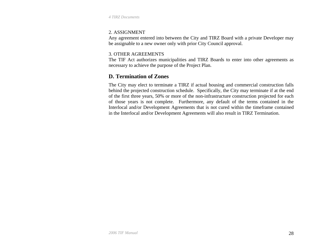<span id="page-27-0"></span>*4 TIRZ Documents*

#### 2. ASSIGNMENT

Any agreement entered into between the City and TIRZ Board with a private Developer may be assignable to a new owner only with prior City Council approval.

## 3.OTHER AGREEMENTS

The TIF Act authorizes municipalities and TIRZ Boards to enter into other agreements as necessary to achieve the purpose of the Project Plan.

# **D. Termination of Zones**

The City may elect to terminate a TIRZ if actual housing and commercial construction falls behind the projected construction schedule. Specifically, the City may terminate if at the end of the first three years, 50% or more of the non-infrastructure construction projected for each of those years is not complete. Furthermore, any default of the terms contained in the Interlocal and/or Development Agreements that is not cured within the timeframe contained in the Interlocal and/or Development Agreements will also result in TIRZ Termination.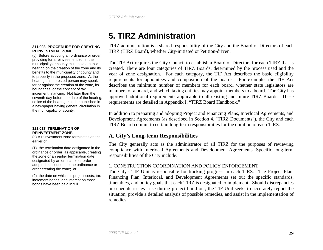# **5. TIRZ Administration**

#### <span id="page-28-0"></span>**311.003. PROCEDURE FOR CREATING REINVESTMENT ZONE.**

(c) Before adopting an ordinance or order providing for a reinvestment zone, the municipality or county must hold a public hearing on the creation of the zone and its benefits to the municipality or county and to property in the proposed zone. At the hearing an interested person may speak for or against the creation of the zone, its boundaries, or the concept of tax increment financing. Not later than the seventh day before the date of the hearing, notice of the hearing must be published in a newspaper having general circulation in the municipality or county.

#### **311.017. TERMINATION OF REINVESTMENT ZONE.**

(a) A reinvestment zone terminates on the earlier of:

(1) the termination date designated in the ordinance or order, as applicable, creating the zone or an earlier termination date designated by an ordinance or order adopted subsequent to the ordinance or order creating the zone; or

(2) the date on which all project costs, tax increment bonds, and interest on those bonds have been paid in full.

TIRZ administration is a shared responsibility of the City and the Board of Directors of each TIRZ (TIRZ Board), whether City-initiated or Petition-driven.

The TIF Act requires the City Council to establish a Board of Directors for each TIRZ that is created. There are four categories of TIRZ Boards, determined by the process used and the year of zone designation. For each category, the TIF Act describes the basic eligibility requirements for appointees and composition of the boards. For example, the TIF Act describes the minimum number of members for each board, whether state legislators are members of a board, and which taxing entities may appoint members to a board. The City has approved additional requirements applicable to all existing and future TIRZ Boards. These requirements are detailed in Appendix I, "TIRZ Board Handbook."

In addition to preparing and adopting Project and Financing Plans, Interlocal Agreements, and Development Agreements (as described in Section 4, "TIRZ Documents"), the City and each TIRZ Board commit to certain long-term responsibilities for the duration of each TIRZ.

# **A. City's Long-term Responsibilities**

The City generally acts as the administrator of all TIRZ for the purposes of reviewing compliance with Interlocal Agreements and Development Agreements. Specific long-term responsibilities of the City include:

## 1. CONSTRUCTION COORDINATION AND POLICY ENFORCEMENT

The City's TIF Unit is responsible for tracking progress in each TIRZ. The Project Plan, Financing Plan, Interlocal, and Development Agreements set out the specific standards, timetables, and policy goals that each TIRZ is designated to implement. Should discrepancies or schedule issues arise during project build-out, the TIF Unit seeks to accurately report the situation, provide a detailed analysis of possible remedies, and assist in the implementation of remedies.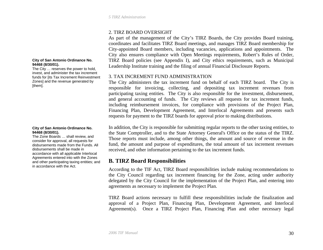## 2.TIRZ BOARD OVERSIGHT

As part of the management of the City's TIRZ Boards, the City provides Board training, coordinates and facilitates TIRZ Board meetings, and manages TIRZ Board membership for City-appointed Board members, including vacancies, applications and appointments. The City also ensures compliance with Open Meetings requirements, Robert's Rules of Order, TIRZ Board policies (see Appendix I), and City ethics requirements, such as Municipal Leadership Institute training and the filing of annual Financial Disclosure Reports.

### 3. TAX INCREMENT FUND ADMINISTRATION

The City administers the tax increment fund on behalf of each TIRZ board. The City is responsible for invoicing, collecting, and depositing tax increment revenues from participating taxing entities. The City is also responsible for the investment, disbursement, and general accounting of funds. The City reviews all requests for tax increment funds, including reimbursement invoices, for compliance with provisions of the Project Plan, Financing Plan, Development Agreement, and Interlocal Agreements and presents such requests for payment to the TIRZ boards for approval prior to making distributions.

In addition, the City is responsible for submitting regular reports to the other taxing entities, to the State Comptroller, and to the State Attorney General's Office on the status of the TIRZ. Those reports must include, among other things, the amount and source of revenue in the fund, the amount and purpose of expenditures, the total amount of tax increment revenues received, and other information pertaining to the tax increment funds.

# **B. TIRZ Board Responsibilities**

According to the TIF Act, TIRZ Board responsibilities include making recommendations to the City Council regarding tax increment financing for the Zone, acting under authority delegated by the City Council for the implementation of the Project Plan, and entering into agreements as necessary to implement the Project Plan.

TIRZ Board actions necessary to fulfill these responsibilities include the finalization and approval of a Project Plan, Financing Plan, Development Agreement, and Interlocal Agreement(s). Once a TIRZ Project Plan, Financing Plan and other necessary legal

#### <span id="page-29-0"></span>**City of San Antonio Ordinance No. 94468 (8/30/01).**

The City … reserves the power to hold, invest, and administer the tax increment funds for [its Tax Increment Reinvestment Zones] and the revenue generated by [them].

#### **City of San Antonio Ordinance No. 94468 (8/30/01).**

The Zone Boards … shall review, and consider for approval, all requests for disbursements made from the Funds. All disbursements shall be made in accordance with all applicable Interlocal Agreements entered into with the Zones and other participating taxing entities; and in accordance with the Act.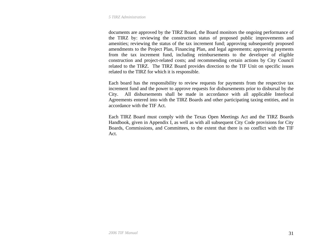documents are approved by the TIRZ Board, the Board monitors the ongoing performance of the TIRZ by: reviewing the construction status of proposed public improvements and amenities; reviewing the status of the tax increment fund; approving subsequently proposed amendments to the Project Plan, Financing Plan, and legal agreements; approving payments from the tax increment fund, including reimbursements to the developer of eligible construction and project-related costs; and recommending certain actions by City Council related to the TIRZ. The TIRZ Board provides direction to the TIF Unit on specific issues related to the TIRZ for which it is responsible.

Each board has the responsibility to review requests for payments from the respective tax increment fund and the power to approve requests for disbursements prior to disbursal by the City. All disbursements shall be made in accordance with all applicable Interlocal Agreements entered into with the TIRZ Boards and other participating taxing entities, and in accordance with the TIF Act.

Each TIRZ Board must comply with the Texas Open Meetings Act and the TIRZ Boards Handbook, given in Appendix I, as well as with all subsequent City Code provisions for City Boards, Commissions, and Committees, to the extent that there is no conflict with the TIF Act.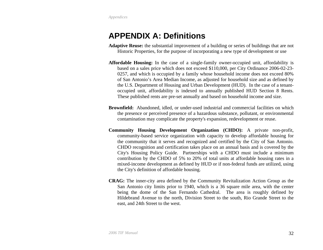# <span id="page-31-0"></span>**APPENDIX A: Definitions**

- **Adaptive Reuse:** the substantial improvement of a building or series of buildings that are not Historic Properties, for the purpose of incorporating a new type of development or use
- **Affordable Housing:** In the case of a single-family owner-occupied unit, affordability is based on a sales price which does not exceed \$110,000, per City Ordinance 2006-02-23- 0257, and which is occupied by a family whose household income does not exceed 80% of San Antonio's Area Median Income, as adjusted for household size and as defined by the U.S. Department of Housing and Urban Development (HUD). In the case of a tenantoccupied unit, affordability is indexed to annually published HUD Section 8 Rents. These published rents are pre-set annually and based on household income and size.
- **Brownfield:** Abandoned, idled, or under-used industrial and commercial facilities on which the presence or perceived presence of a hazardous substance, pollutant, or environmental contamination may complicate the property's expansion, redevelopment or reuse.
- **Community Housing Development Organization (CHDO):** A private non-profit, community-based service organization with capacity to develop affordable housing for the community that it serves and recognized and certified by the City of San Antonio. CHDO recognition and certification takes place on an annual basis and is covered by the City's Housing Policy Guide. Partnerships with a CHDO must include a minimum contribution by the CHDO of 5% to 20% of total units at affordable housing rates in a mixed-income development as defined by HUD or if non-federal funds are utilized, using the City's definition of affordable housing.
- **CRAG:** The inner-city area defined by the Community Revitalization Action Group as the San Antonio city limits prior to 1940, which is a 36 square mile area, with the center being the dome of the San Fernando Cathedral. The area is roughly defined by Hildebrand Avenue to the north, Division Street to the south, Rio Grande Street to the east, and 24th Street to the west.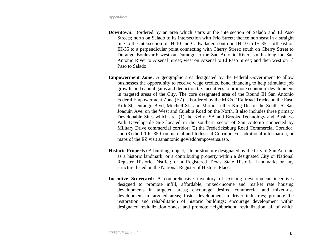- **Downtown:** Bordered by an area which starts at the intersection of Salado and El Paso Streets; north on Salado to its intersection with Frio Street; thence northeast in a straight line to the intersection of IH-10 and Cadwalader; south on IH-10 to IH-35; northeast on IH-35 to a perpendicular point connecting with Cherry Street; south on Cherry Street to Durango Boulevard; west on Durango to the San Antonio River; south along the San Antonio River to Arsenal Street; west on Arsenal to El Paso Street; and then west on El Paso to Salado.
- **Empowerment Zone:** A geographic area designated by the Federal Government to allow businesses the opportunity to receive wage credits, bond financing to help stimulate job growth, and capital gains and deduction tax incentives to promote economic development in targeted areas of the City. The core designated area of the Round III San Antonio Federal Empowerment Zone (EZ) is bordered by the MK&T Railroad Tracks on the East, Kirk St, Durango Blvd, Mitchell St., and Martin Luther King Dr. on the South, S. San Joaquin Ave. on the West and Culebra Road on the North. It also includes three primary Developable Sites which are: (1) the KellyUSA and Brooks Technology and Business Park Developable Site located in the southern sector of San Antonio connected by Military Drive commercial corridor; (2) the Fredericksburg Road Commercial Corridor; and (3) the I-10/I-35 Commercial and Industrial Corridor. For additional information, or maps of the EZ visit sanantonio.gov/edd/empowersa.asp.
- **Historic Property:** A building, object, site or structure designated by the City of San Antonio as a historic landmark, or a contributing property within a designated City or National Register Historic District; or a Registered Texas State Historic Landmark; or any structure listed on the National Register of Historic Places.
- **Incentive Scorecard:** A comprehensive inventory of existing development incentives designed to promote infill, affordable, mixed-income and market rate housing developments in targeted areas; encourage desired commercial and mixed-use development in targeted areas; foster development in driver industries; promote the restoration and rehabilitation of historic buildings; encourage development within designated revitalization zones; and promote neighborhood revitalization, all of which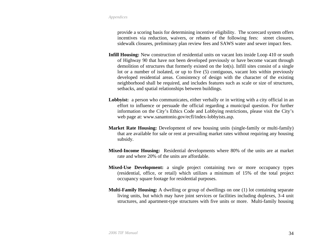provide a scoring basis for determining incentive eligibility. The scorecard system offers incentives via reduction, waivers, or rebates of the following fees: street closures, sidewalk closures, preliminary plan review fees and SAWS water and sewer impact fees.

- **Infill Housing:** New construction of residential units on vacant lots inside Loop 410 or south of Highway 90 that have not been developed previously or have become vacant through demolition of structures that formerly existed on the lot(s). Infill sites consist of a single lot or a number of isolated, or up to five (5) contiguous, vacant lots within previously developed residential areas. Consistency of design with the character of the existing neighborhood shall be required, and includes features such as scale or size of structures, setbacks, and spatial relationships between buildings.
- **Lobbyist:** a person who communicates, either verbally or in writing with a city official in an effort to influence or persuade the official regarding a municipal question. For further information on the City's Ethics Code and Lobbying restrictions, please visit the City's web page at: [www.sanantonio.gov/ecfl/index-lobbyists.asp](http://www.sanantonio.gov/ecfl/index-lobbyists.asp).
- **Market Rate Housing:** Development of new housing units (single-family or multi-family) that are available for sale or rent at prevailing market rates without requiring any housing subsidy.
- **Mixed-Income Housing:** Residential developments where 80% of the units are at market rate and where 20% of the units are affordable.
- **Mixed-Use Development:** a single project containing two or more occupancy types (residential, office, or retail) which utilizes a minimum of 15% of the total project occupancy square footage for residential purposes.
- **Multi-Family Housing:** A dwelling or group of dwellings on one (1) lot containing separate living units, but which may have joint services or facilities including duplexes, 3-4 unit structures, and apartment-type structures with five units or more. Multi-family housing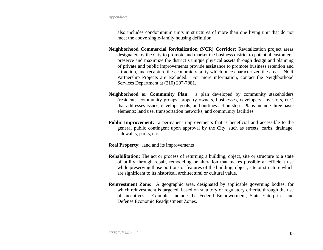also includes condominium units in structures of more than one living unit that do not meet the above single-family housing definition.

- **Neighborhood Commercial Revitalization (NCR) Corridor:** Revitalization project areas designated by the City to promote and market the business district to potential customers, preserve and maximize the district's unique physical assets through design and planning of private and public improvements provide assistance to promote business retention and attraction, and recapture the economic vitality which once characterized the areas. NCR Partnership Projects are excluded. For more information, contact the Neighborhood Services Department at (210) 207-7881.
- **Neighborhood or Community Plan:** a plan developed by community stakeholders (residents, community groups, property owners, businesses, developers, investors, etc.) that addresses issues, develops goals, and outlines action steps. Plans include three basic elements: land use, transportation networks, and community facilities.
- **Public Improvement:** a permanent improvements that is beneficial and accessible to the general public contingent upon approval by the City, such as streets, curbs, drainage, sidewalks, parks, etc.

**Real Property:** land and its improvements

- **Rehabilitation:** The act or process of returning a building, object, site or structure to a state of utility through repair, remodeling or alteration that makes possible an efficient use while preserving those portions or features of the building, object, site or structure which are significant to its historical, architectural or cultural value.
- **Reinvestment Zone:** A geographic area, designated by applicable governing bodies, for which reinvestment is targeted, based on statutory or regulatory criteria, through the use of incentives. Examples include the Federal Empowerment, State Enterprise, and Defense Economic Readjustment Zones.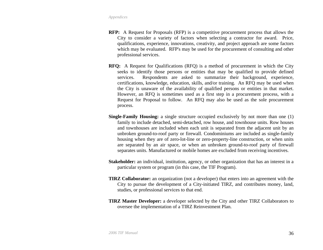- **RFP:** A Request for Proposals (RFP) is a competitive procurement process that allows the City to consider a variety of factors when selecting a contractor for award. Price, qualifications, experience, innovations, creativity, and project approach are some factors which may be evaluated. RFP's may be used for the procurement of consulting and other professional services.
- **RFQ:** A Request for Qualifications (RFQ) is a method of procurement in which the City seeks to identify those persons or entities that may be qualified to provide defined services. Respondents are asked to summarize their background, experience, certifications, knowledge, education, skills, and/or training. An RFQ may be used when the City is unaware of the availability of qualified persons or entities in that market. However, an RFQ is sometimes used as a first step in a procurement process, with a Request for Proposal to follow. An RFQ may also be used as the sole procurement process.
- **Single-Family Housing:** a single structure occupied exclusively by not more than one (1) family to include detached, semi-detached, row house, and townhouse units. Row houses and townhouses are included when each unit is separated from the adjacent unit by an unbroken ground-to-roof party or firewall. Condominiums are included as single-family housing when they are of zero-lot-line or zero-property-line construction, or when units are separated by an air space, or when an unbroken ground-to-roof party of firewall separates units. Manufactured or mobile homes are excluded from receiving incentives.
- **Stakeholder:** an individual, institution, agency, or other organization that has an interest in a particular system or program (in this case, the TIF Program).
- **TIRZ Collaborator:** an organization (not a developer) that enters into an agreement with the City to pursue the development of a City-initiated TIRZ, and contributes money, land, studies, or professional services to that end.
- **TIRZ Master Developer:** a developer selected by the City and other TIRZ Collaborators to oversee the implementation of a TIRZ Reinvestment Plan.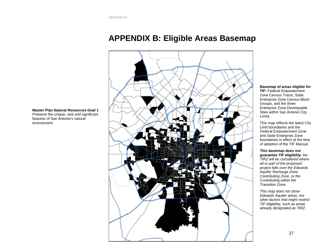# **APPENDIX B: Eligible Areas Basemap**



#### **Basemap of areas eligible for**

**TIF:** Federal Empowerment Zone Census Tracts, State Enterprise Zone Census Block Groups, and the three Enterprise Zone Developable Sites within San Antonio City Limits.

This map reflects the latest City Limit boundaries and the Federal Empowerment Zone and State Enterprise Zone boundaries in effect at the time of adoption of the TIF Manual.

#### *This basemap does not*

*guarantee TIF eligibility. No TIRZ will be considered where all or part of the proposed project falls over the Edwards Aquifer Recharge Zone, Contributing Zone, or the Contributing within the Transition Zone.* 

*This map does not show Edwards Aquifer areas, nor other factors that might restrict TIF eligibility, such as areas already designated as TIRZ.* 

<span id="page-36-0"></span>**Master Plan Natural Resources Goal 1** Preserve the unique, rare and significant features of San Antonio's natural environment.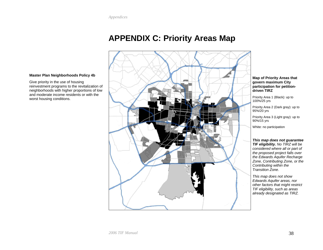# **APPENDIX C: Priority Areas Map**

**Map of Priority Areas that govern maximum City participation for petitiondriven TIRZ** 

Priority Area 1 (Black): up to 100%/25 yrs

Priority Area 2 (Dark gray): up to 95%/20 yrs

Priority Area 3 (Light gray): up to 90%/15 yrs

White: no participation

*This map does not guarantee TIF eligibility. No TIRZ will be considered where all or part of the proposed project falls over the Edwards Aquifer Recharge Zone, Contributing Zone, or the Contributing within the Transition Zone.* 

*This map does not show Edwards Aquifer areas, nor other factors that might restrict TIF eligibility, such as areas already designated as TIRZ.* 

#### <span id="page-37-0"></span>**Master Plan Neighborhoods Policy 4b**

Give priority in the use of housing reinvestment programs to the revitalization of neighborhoods with higher proportions of low and moderate income residents or with the worst housing conditions.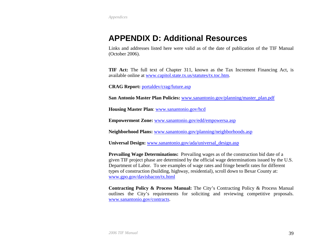# <span id="page-38-0"></span>**APPENDIX D: Additional Resources**

Links and addresses listed here were valid as of the date of publication of the TIF Manual (October 2006).

**TIF Act:** The full text of Chapter 311, known as the Tax Increment Financing Act, is available online at [www.capitol.state.tx.us/statutes/tx.toc.htm](http://www.capitol.state.tx.us/statutes/tx.toc.htm).

**CRAG Report:** por[taldev/crag/future.asp](http://portaldev/crag/future.asp)

**San Antonio Master Plan Policies:** [www.sanantonio.gov/planning/master\\_plan.pdf](http://www.sanantonio.gov/planning/master_plan.pdf)

**Housing Master Plan**: [www.sanantonio.gov/hcd](http://www.sanantonio.gov/hcd)

**Empowerment Zone:** [www.sanantonio.gov/edd/empowersa.asp](http://www.sanantonio.gov/edd/empowersa.asp)

**Neighborhood Plans:** [www.sanantonio.gov/planning/neighborhoods.asp](http://www.sanantonio.gov/planning/neighborhoods.asp)

**Universal Design:** [www.sanantonio.gov/ada/universal\\_design.asp](http://www.sanantonio.gov/ada/universal_design.asp)

**Prevailing Wage Determinations:** Prevailing wages as of the construction bid date of a given TIF project phase are determined by the official wage determinations issued by the U.S. Department of Labor. To see examples of wage rates and fringe benefit rates for different types of construction (building, highway, residential), scroll down to Bexar County at: www.gpo.gov[/davisbacon/tx.html](http://www.gpo.gov/davisbacon/tx.html)

**Contracting Policy & Process Manual:** The City's Contracting Policy & Process Manual outlines the City's requirements for soliciting and reviewing competitive proposals. [www.sanantonio.gov/contracts](http://www.sanantonio.gov/contracts).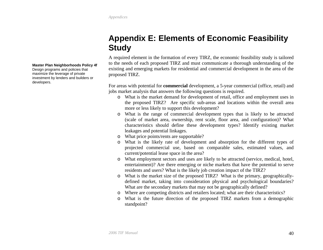# **Appendix E: Elements of Economic Feasibility Study**

A required element in the formation of every TIRZ, the economic feasibility study is tailored to the needs of each proposed TIRZ and must communicate a thorough understanding of the existing and emerging markets for residential and commercial development in the area of the proposed TIRZ.

For areas with potential for **commercial** development, a 5-year commercial (office, retail) and jobs market analysis that answers the following questions is required.

- o What is the market demand for development of retail, office and employment uses in the proposed TIRZ? Are specific sub-areas and locations within the overall area more or less likely to support this development?
- o What is the range of commercial development types that is likely to be attracted (scale of market area, ownership, rent scale, floor area, and configuration)? What characteristics should define these development types? Identify existing market leakages and potential linkages.
- o What price points/rents are supportable?
- o What is the likely rate of development and absorption for the different types of projected commercial use, based on comparable sales, estimated values, and current/potential lease space in the area?
- o What employment sectors and uses are likely to be attracted (service, medical, hotel, entertainment)? Are there emerging or niche markets that have the potential to serve residents and users? What is the likely job creation impact of the TIRZ?
- o What is the market size of the proposed TIRZ? What is the primary, geographicallydefined market, taking into consideration physical and psychological boundaries? What are the secondary markets that may not be geographically defined?
- o Where are competing districts and retailers located; what are their characteristics?
- o What is the future direction of the proposed TIRZ markets from a demographic standpoint?

#### <span id="page-39-0"></span>**Master Plan Neighborhoods Policy 4f**

Design programs and policies that maximize the leverage of private investment by lenders and builders or developers.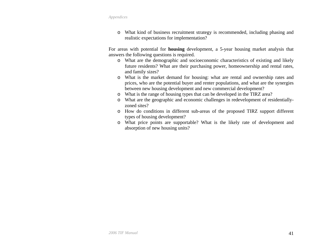o What kind of business recruitment strategy is recommended, including phasing and realistic expectations for implementation?

For areas with potential for **housing** development, a 5-year housing market analysis that answers the following questions is required.

- o What are the demographic and socioeconomic characteristics of existing and likely future residents? What are their purchasing power, homeownership and rental rates, and family sizes?
- o What is the market demand for housing: what are rental and ownership rates and prices, who are the potential buyer and renter populations, and what are the synergies between new housing development and new commercial development?
- o What is the range of housing types that can be developed in the TIRZ area?
- o What are the geographic and economic challenges in redevelopment of residentiallyzoned sites?
- o How do conditions in different sub-areas of the proposed TIRZ support different types of housing development?
- o What price points are supportable? What is the likely rate of development and absorption of new housing units?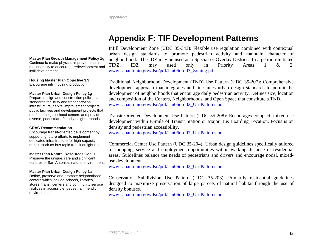# **Appendix F: TIF Development Patterns**

Infill Development Zone (UDC 35-343): Flexible use regulation combined with contextual urban design standards to promote pedestrian activity and maintain character of neighborhood. The IDZ may be used as a Special or Overlay District. In a petition-initiated TIRZ, IDZ may used only in Priority Areas 1 & 2. [www.sanantonio.gov/dsd/pdf/Jan06ord03\\_Zoning.pdf](http://www.sanantonio.gov/dsd/pdf/Jan06ord03_Zoning.pdf)

Traditional Neighborhood Development (TND) Use Pattern (UDC 35-207): Comprehensive development approach that integrates and fine-tunes urban design standards to permit the development of neighborhoods that encourage daily pedestrian activity. Defines size, location and composition of the Centers, Neighborhoods, and Open Space that constitute a TND. [www.sanantonio.gov/dsd/pdf/Jan06ord02\\_UsePatterns.pdf](http://www.sanantonio.gov/dsd/pdf/Jan06ord02_UsePatterns.pdf)

Transit Oriented Development Use Pattern (UDC 35-208): Encourages compact, mixed-use development within ½-mile of Transit Station or Major Bus Boarding Location. Focus is on density and pedestrian accessibility.

[www.sanantonio.gov/dsd/pdf/Jan06ord02\\_UsePatterns.pdf](http://www.sanantonio.gov/dsd/pdf/Jan06ord02_UsePatterns.pdf)

Commercial Center Use Pattern (UDC 35-204): Urban design guidelines specifically tailored to shopping, service and employment opportunities within walking distance of residential areas. Guidelines balance the needs of pedestrians and drivers and encourage nodal, mixeduse development.

[www.sanantonio.gov/dsd/pdf/Jan06ord02\\_UsePatterns.pdf](http://www.sanantonio.gov/dsd/pdf/Jan06ord02_UsePatterns.pdf)

Conservation Subdivision Use Pattern (UDC 35-203): Primarily residential guidelines designed to maximize preservation of large parcels of natural habitat through the use of density bonuses.

[www.sanantonio.gov/dsd/pdf/Jan06ord02\\_UsePatterns.pdf](http://www.sanantonio.gov/dsd/pdf/Jan06ord02_UsePatterns.pdf)

#### <span id="page-41-0"></span>**Master Plan Growth Management Policy 1g**

Continue to make physical improvements in the inner city to encourage redevelopment and infill development.

**Housing Master Plan Objective 3.9**  Encourage infill housing production.

#### **Master Plan Urban Design Policy 1g**

Prepare design and construction policies and standards for utility and transportation infrastructure, capital improvement projects, public facilities and development projects that reinforce neighborhood centers and provide diverse, pedestrian- friendly neighborhoods.

#### **CRAG Recommendation**

Encourage transit-oriented development by supporting future efforts to implement dedicated infrastructure for high-capacity transit, such as bus rapid transit or light rail

#### **Master Plan Natural Resources Goal 1**

Preserve the unique, rare and significant features of San Antonio's natural environment.

#### **Master Plan Urban Design Policy 1a**

Define, preserve and promote neighborhood centers which include schools, libraries, stores, transit centers and community service facilities in accessible, pedestrian friendly environments.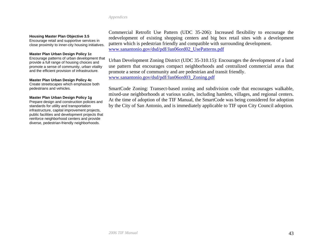#### **Housing Master Plan Objective 3.5**

Encourage retail and supportive services in close proximity to inner-city housing initiatives.

#### **Master Plan Urban Design Policy 1c**

Encourage patterns of urban development that provide a full range of housing choices and promote a sense of community, urban vitality and the efficient provision of infrastructure.

#### **Master Plan Urban Design Policy 4c**

Create streetscapes which emphasize both pedestrians and vehicles.

#### **Master Plan Urban Design Policy 1g**

Prepare design and construction policies and standards for utility and transportation infrastructure, capital improvement projects, public facilities and development projects that reinforce neighborhood centers and provide diverse, pedestrian-friendly neighborhoods.

Commercial Retrofit Use Pattern (UDC 35-206): Increased flexibility to encourage the redevelopment of existing shopping centers and big box retail sites with a development pattern which is pedestrian friendly and compatible with surrounding development. [www.sanantonio.gov/dsd/pdf/Jan06ord02\\_UsePatterns.pdf](http://www.sanantonio.gov/dsd/pdf/Jan06ord02_UsePatterns.pdf)

Urban Development Zoning District (UDC 35-310.15): Encourages the development of a land use pattern that encourages compact neighborhoods and centralized commercial areas that promote a sense of community and are pedestrian and transit friendly. [www.sanantonio.gov/dsd/pdf/Jan06ord03\\_Zoning.pdf](http://www.sanantonio.gov/dsd/pdf/Jan06ord03_Zoning.pdf)

SmartCode Zoning: Transect-based zoning and subdivision code that encourages walkable, mixed-use neighborhoods at various scales, including hamlets, villages, and regional centers. At the time of adoption of the TIF Manual, the SmartCode was being considered for adoption by the City of San Antonio, and is immediately applicable to TIF upon City Council adoption.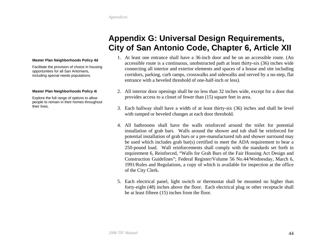# **Appendix G: Universal Design Requirements, City of San Antonio Code, Chapter 6, Article XII**

#### <span id="page-43-0"></span>**Master Plan Neighborhoods Policy 4d**

Facilitate the provision of choice in housing opportunities for all San Antonians, including special needs populations.

#### **Master Plan Neighborhoods Policy 4i**

Explore the full range of options to allow people to remain in their homes throughout their lives.

- 1. At least one entrance shall have a 36-inch door and be on an accessible route. (An accessible route is a continuous, unobstructed path at least thirty-six (36) inches wide connecting all interior and exterior elements and spaces of a house and site including corridors, parking, curb ramps, crosswalks and sidewalks and served by a no-step, flat entrance with a beveled threshold of one-half-inch or less).
- 2. All interior door openings shall be no less than 32 inches wide, except for a door that provides access to a closet of fewer than (15) square feet in area.
- 3. Each hallway shall have a width of at least thirty-six (36) inches and shall be level with ramped or beveled changes at each door threshold.
- 4. All bathrooms shall have the walls reinforced around the toilet for potential installation of grab bars. Walls around the shower and tub shall be reinforced for potential installation of grab bars or a pre-manufactured tub and shower surround may be used which includes grab bar(s) certified to meet the ADA requirement to bear a 250-pound load. Wall reinforcements shall comply with the standards set forth in requirement 6, Reinforced, "Walls for Grab Bars of the Fair Housing Act Design and Construction Guidelines"; Federal Register/Volume 56 No.44/Wednesday, March 6, 1991/Rules and Regulations, a copy of which is available for inspection at the office of the City Clerk.
- 5. Each electrical panel, light switch or thermostat shall be mounted no higher than forty-eight (48) inches above the floor. Each electrical plug or other receptacle shall be at least fifteen (15) inches from the floor.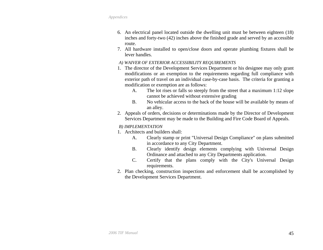- 6. An electrical panel located outside the dwelling unit must be between eighteen (18) inches and forty-two (42) inches above the finished grade and served by an accessible route.
- 7. All hardware installed to open/close doors and operate plumbing fixtures shall be lever handles.

#### *A) WAIVER OF EXTERIOR ACCESSIBILITY REQUIREMENTS*

- 1. The director of the Development Services Department or his designee may only grant modifications or an exemption to the requirements regarding full compliance with exterior path of travel on an individual case-by-case basis. The criteria for granting a modification or exemption are as follows:
	- A. The lot rises or falls so steeply from the street that a maximum 1:12 slope cannot be achieved without extensive grading
	- B. No vehicular access to the back of the house will be available by means of an alley.
- 2. Appeals of orders, decisions or determinations made by the Director of Development Services Department may be made to the Building and Fire Code Board of Appeals.

### *B) IMPLEMENTATION*

- 1. Architects and builders shall:
	- A. Clearly stamp or print "Universal Design Compliance" on plans submitted in accordance to any City Department.
	- B. Clearly identify design elements complying with Universal Design Ordinance and attached to any City Departments application.
	- C. Certify that the plans comply with the City's Universal Design requirements.
- 2. Plan checking, construction inspections and enforcement shall be accomplished by the Development Services Department.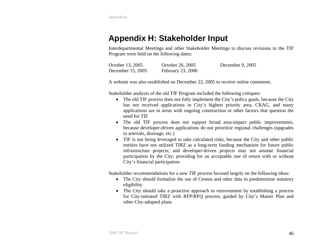# <span id="page-45-0"></span>**Appendix H: Stakeholder Input**

Interdepartmental Meetings and other Stakeholder Meetings to discuss revisions to the TIF Program were held on the following dates:

| October 13, 2005  | October 26, 2005  | December 9, $2005$ |
|-------------------|-------------------|--------------------|
| December 15, 2005 | February 23, 2006 |                    |

A website was also established on December 22, 2005 to receive online comments.

Stakeholder analysis of the old TIF Program included the following critiques:

- The old TIF process does not fully implement the City's policy goals, because the City has not received applications in City's highest priority area, CRAG, and many applications are in areas with ongoing construction or other factors that question the need for TIF
- The old TIF process does not support broad area-impact public improvements, because developer-driven applications do not prioritize regional challenges (upgrades to arterials, drainage, etc.)
- TIF is not being leveraged to take calculated risks, because the City and other public entities have not utilized TIRZ as a long-term funding mechanism for future public infrastructure projects; and developer-driven projects may not assume financial participation by the City; providing for an acceptable rate of return with or without City's financial participation

Stakeholder recommendations for a new TIF process focused largely on the following ideas:

- The City should formalize the use of Census and other data to predetermine statutory eligibility
- The City should take a proactive approach to reinvestment by establishing a process for City-initiated TIRZ with RFP/RFQ process, guided by City's Master Plan and other City-adopted plans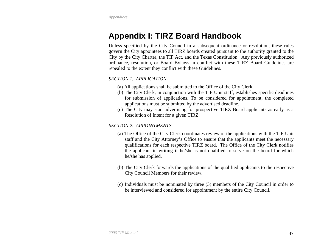# <span id="page-46-0"></span>**Appendix I: TIRZ Board Handbook**

Unless specified by the City Council in a subsequent ordinance or resolution, these rules govern the City appointees to all TIRZ boards created pursuant to the authority granted to the City by the City Charter, the TIF Act, and the Texas Constitution. Any previously authorized ordinance, resolution, or Board Bylaws in conflict with these TIRZ Board Guidelines are repealed to the extent they conflict with these Guidelines.

# *SECTION 1. APPLICATION*

- (a) All applications shall be submitted to the Office of the City Clerk.
- (b) The City Clerk, in conjunction with the TIF Unit staff, establishes specific deadlines for submission of applications. To be considered for appointment, the completed applications must be submitted by the advertised deadline.
- (c) The City may start advertising for prospective TIRZ Board applicants as early as a Resolution of Intent for a given TIRZ.

# *SECTION 2. APPOINTMENTS*

- (a) The Office of the City Clerk coordinates review of the applications with the TIF Unit staff and the City Attorney's Office to ensure that the applicants meet the necessary qualifications for each respective TIRZ board. The Office of the City Clerk notifies the applicant in writing if he/she is not qualified to serve on the board for which he/she has applied.
- (b) The City Clerk forwards the applications of the qualified applicants to the respective City Council Members for their review.
- (c) Individuals must be nominated by three (3) members of the City Council in order to be interviewed and considered for appointment by the entire City Council.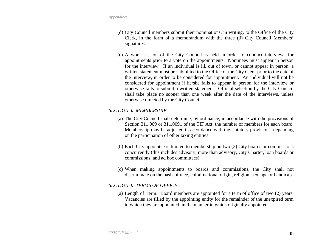- (d) City Council members submit their nominations, in writing, to the Office of the City Clerk, in the form of a memorandum with the three (3) City Council Members' signatures.
- (e) A work session of the City Council is held in order to conduct interviews for appointments prior to a vote on the appointments. Nominees must appear in person for the interview. If an individual is ill, out of town, or cannot appear in person, a written statement must be submitted to the Office of the City Clerk prior to the date of the interview, in order to be considered for appointment. An individual will not be considered for appointment if he/she fails to appear in person for the interview or otherwise fails to submit a written statement. Official selection by the City Council shall take place no sooner than one week after the date of the interviews, unless otherwise directed by the City Council.

## *SECTION 3. MEMBERSHIP*

- (a) The City Council shall determine, by ordinance, in accordance with the provisions of Section 311.009 or 311.0091 of the TIF Act, the number of members for each board. Membership may be adjusted in accordance with the statutory provisions, depending on the participation of other taxing entities.
- (b) Each City appointee is limited to membership on two (2) City boards or commissions concurrently (this includes advisory, more than advisory, City Charter, loan boards or commissions, and ad hoc committees).
- (c) When making appointments to boards and commissions, the City shall not discriminate on the basis of race, color, national origin, religion, sex, age or handicap.

#### *SECTION 4. TERMS OF OFFICE*

(a) Length of Term: Board members are appointed for a term of office of two (2) years. Vacancies are filled by the appointing entity for the remainder of the unexpired term to which they are appointed, in the manner in which originally appointed.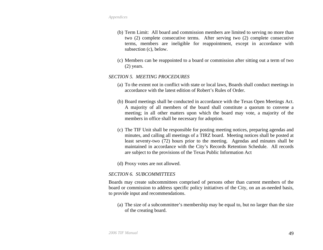- (b) Term Limit: All board and commission members are limited to serving no more than two (2) complete consecutive terms. After serving two (2) complete consecutive terms, members are ineligible for reappointment, except in accordance with subsection (c), below.
- (c) Members can be reappointed to a board or commission after sitting out a term of two (2) years.

#### *SECTION 5. MEETING PROCEDURES*

- (a) To the extent not in conflict with state or local laws, Boards shall conduct meetings in accordance with the latest edition of Robert's Rules of Order.
- (b) Board meetings shall be conducted in accordance with the Texas Open Meetings Act. A majority of all members of the board shall constitute a quorum to convene a meeting; in all other matters upon which the board may vote, a majority of the members in office shall be necessary for adoption.
- (c) The TIF Unit shall be responsible for posting meeting notices, preparing agendas and minutes, and calling all meetings of a TIRZ board. Meeting notices shall be posted at least seventy-two (72) hours prior to the meeting. Agendas and minutes shall be maintained in accordance with the City's Records Retention Schedule. All records are subject to the provisions of the Texas Public Information Act
- (d) Proxy votes are not allowed.

## *SECTION 6. SUBCOMMITTEES*

Boards may create subcommittees comprised of persons other than current members of the board or commission to address specific policy initiatives of the City, on an as-needed basis, to provide input and recommendations.

(a) The size of a subcommittee's membership may be equal to, but no larger than the size of the creating board.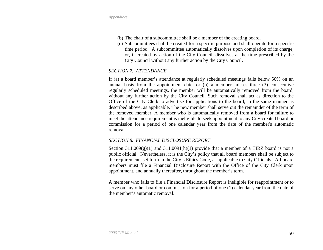- (b) The chair of a subcommittee shall be a member of the creating board.
- (c) Subcommittees shall be created for a specific purpose and shall operate for a specific time period. A subcommittee automatically dissolves upon completion of its charge, or, if created by action of the City Council, dissolves at the time prescribed by the City Council without any further action by the City Council.

#### *SECTION 7. ATTENDANCE*

If (a) a board member's attendance at regularly scheduled meetings falls below 50% on an annual basis from the appointment date, or (b) a member misses three (3) consecutive regularly scheduled meetings, the member will be automatically removed from the board, without any further action by the City Council. Such removal shall act as direction to the Office of the City Clerk to advertise for applications to the board, in the same manner as described above, as applicable. The new member shall serve out the remainder of the term of the removed member. A member who is automatically removed from a board for failure to meet the attendance requirement is ineligible to seek appointment to any City-created board or commission for a period of one calendar year from the date of the member's automatic removal.

#### *SECTION 8. FINANCIAL DISCLOSURE REPORT*

Section 311.009(g)(1) and 311.0091(h)(1) provide that a member of a TIRZ board is not a public official. Nevertheless, it is the City's policy that all board members shall be subject to the requirements set forth in the City's Ethics Code, as applicable to City Officials. All board members must file a Financial Disclosure Report with the Office of the City Clerk upon appointment, and annually thereafter, throughout the member's term.

A member who fails to file a Financial Disclosure Report is ineligible for reappointment or to serve on any other board or commission for a period of one (1) calendar year from the date of the member's automatic removal.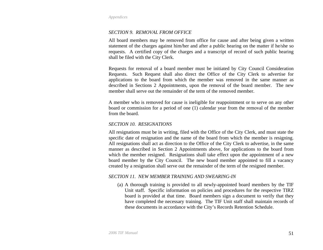### *SECTION 9. REMOVAL FROM OFFICE*

All board members may be removed from office for cause and after being given a written statement of the charges against him/her and after a public hearing on the matter if he/she so requests. A certified copy of the charges and a transcript of record of such public hearing shall be filed with the City Clerk.

Requests for removal of a board member must be initiated by City Council Consideration Requests. Such Request shall also direct the Office of the City Clerk to advertise for applications to the board from which the member was removed in the same manner as described in Sections 2 Appointments, upon the removal of the board member. The new member shall serve out the remainder of the term of the removed member.

A member who is removed for cause is ineligible for reappointment or to serve on any other board or commission for a period of one (1) calendar year from the removal of the member from the board.

#### *SECTION 10. RESIGNATIONS*

All resignations must be in writing, filed with the Office of the City Clerk, and must state the specific date of resignation and the name of the board from which the member is resigning. All resignations shall act as direction to the Office of the City Clerk to advertise, in the same manner as described in Section 2 Appointments above, for applications to the board from which the member resigned. Resignations shall take effect upon the appointment of a new board member by the City Council. The new board member appointed to fill a vacancy created by a resignation shall serve out the remainder of the term of the resigned member.

#### *SECTION 11. NEW MEMBER TRAINING AND SWEARING-IN*

(a) A thorough training is provided to all newly-appointed board members by the TIF Unit staff. Specific information on policies and procedures for the respective TIRZ board is provided at that time. Board members sign a document to verify that they have completed the necessary training. The TIF Unit staff shall maintain records of these documents in accordance with the City's Records Retention Schedule.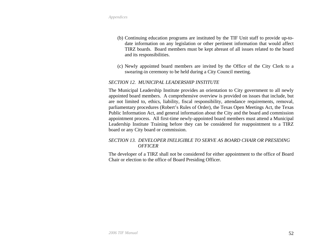- (b) Continuing education programs are instituted by the TIF Unit staff to provide up-todate information on any legislation or other pertinent information that would affect TIRZ boards. Board members must be kept abreast of all issues related to the board and its responsibilities.
- (c) Newly appointed board members are invited by the Office of the City Clerk to a swearing-in ceremony to be held during a City Council meeting.

### *SECTION 12. MUNICIPAL LEADERSHIP INSTITUTE*

The Municipal Leadership Institute provides an orientation to City government to all newly appointed board members. A comprehensive overview is provided on issues that include, but are not limited to, ethics, liability, fiscal responsibility, attendance requirements, removal, parliamentary procedures (Robert's Rules of Order), the Texas Open Meetings Act, the Texas Public Information Act, and general information about the City and the board and commission appointment process. All first-time newly-appointed board members must attend a Municipal Leadership Institute Training before they can be considered for reappointment to a TIRZ board or any City board or commission.

## *SECTION 13. DEVELOPER INELIGIBLE TO SERVE AS BOARD CHAIR OR PRESIDING OFFICER*

The developer of a TIRZ shall not be considered for either appointment to the office of Board Chair or election to the office of Board Presiding Officer.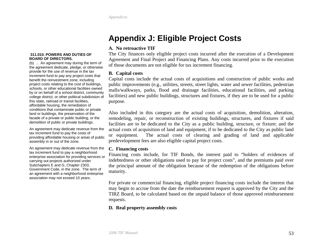# **Appendix J: Eligible Project Costs**

### **A. No retroactive TIF**

The City finances only eligible project costs incurred after the execution of a Development Agreement and Final Project and Financing Plans. Any costs incurred prior to the execution of those documents are not eligible for tax increment financing.

### **B. Capital costs**

Capital costs include the actual costs of acquisitions and construction of public works and public improvements (e.g., utilities, streets, street lights, water and sewer facilities, pedestrian malls/walkways, parks, flood and drainage facilities, educational facilities, and parking facilities) and new public buildings, structures and fixtures, if they are to be used for a public purpose.

Also included in this category are the actual costs of acquisition, demolition, alteration, remodeling, repair, or reconstruction of existing buildings, structures, and fixtures if said facilities are to be dedicated to the City as a public building, structure, or fixture; and the actual costs of acquisition of land and equipment, if to be dedicated to the City as public land or equipment. The actual costs of clearing and grading of land and applicable predevelopment fees are also eligible capital project costs.

#### **C. Financing costs**

Financing costs include, for TIF Bonds, the interest paid to "holders of evidences of indebtedness or other obligations used to pay for project costs", and the premiums paid over the principal amount of the obligation because of the redemption of the obligations before maturity.

For private or commercial financing, eligible project financing costs include the interest that may begin to accrue from the date the reimbursement request is approved by the City and the TIRZ Board, to be calculated based on the unpaid balance of those approved reimbursement requests.

# **D. Real property assembly costs**

#### <span id="page-52-0"></span> **311.010. POWERS AND DUTIES OF BOARD OF DIRECTORS.**

(b) … An agreement may during the term of the agreement dedicate, pledge, or otherwise provide for the use of revenue in the tax increment fund to pay any project costs that benefit the reinvestment zone, including project costs relating to the cost of buildings, schools, or other educational facilities owned by or on behalf of a school district, community college district, or other political subdivision of this state, railroad or transit facilities, affordable housing, the remediation of conditions that contaminate public or private land or buildings, the preservation of the facade of a private or public building, or the demolition of public or private buildings.

An agreement may dedicate revenue from the tax increment fund to pay the costs of providing affordable housing or areas of public assembly in or out of the zone.

An agreement may dedicate revenue from the tax increment fund to pay a neighborhood enterprise association for providing services or carrying out projects authorized under Subchapters E and G, Chapter 2303, Government Code, in the zone. The term of an agreement with a neighborhood enterprise association may not exceed 10 years.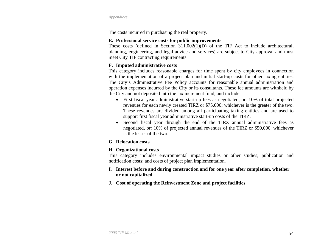The costs incurred in purchasing the real property.

## **E. Professional service costs for public improvements**

These costs (defined in Section 311.002(1)(D) of the TIF Act to include architectural, planning, engineering, and legal advice and services) are subject to City approval and must meet City TIF contracting requirements.

## **F. Imputed administrative costs**

This category includes reasonable charges for time spent by city employees in connection with the implementation of a project plan and initial start-up costs for other taxing entities. The City's Administrative Fee Policy accounts for reasonable annual administration and operation expenses incurred by the City or its consultants. These fee amounts are withheld by the City and not deposited into the tax increment fund, and include:

- First fiscal year administrative start-up fees as negotiated, or: 10% of total projected revenues for each newly created TIRZ or \$75,000; whichever is the greater of the two. These revenues are divided among all participating taxing entities and are used to support first fiscal year administrative start-up costs of the TIRZ.
- Second fiscal year through the end of the TIRZ annual administrative fees as negotiated, or: 10% of projected annual revenues of the TIRZ or \$50,000, whichever is the lesser of the two.

# **G. Relocation costs**

# **H. Organizational costs**

This category includes environmental impact studies or other studies; publication and notification costs; and costs of project plan implementation.

## **I. Interest before and during construction and for one year after completion, whether or not capitalized**

**J. Cost of operating the Reinvestment Zone and project facilities**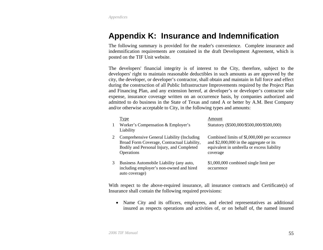# <span id="page-54-0"></span>**Appendix K: Insurance and Indemnification**

The following summary is provided for the reader's convenience. Complete insurance and indemnification requirements are contained in the draft Development Agreement, which is posted on the TIF Unit website.

The developers' financial integrity is of interest to the City, therefore, subject to the developers' right to maintain reasonable deductibles in such amounts as are approved by the city, the developer, or developer's contractor, shall obtain and maintain in full force and effect during the construction of all Public Infrastructure Improvements required by the Project Plan and Financing Plan, and any extension hereof, at developer's or developer's contractor sole expense, insurance coverage written on an occurrence basis, by companies authorized and admitted to do business in the State of Texas and rated A or better by A.M. Best Company and/or otherwise acceptable to City, in the following types and amounts:

|                | <b>Type</b>                                                                                                                                          | Amount                                                                                                                                              |
|----------------|------------------------------------------------------------------------------------------------------------------------------------------------------|-----------------------------------------------------------------------------------------------------------------------------------------------------|
| $\mathbf{1}$   | Worker's Compensation & Employer's<br>Liability                                                                                                      | Statutory (\$500,000/\$500,000/\$500,000)                                                                                                           |
| $\mathbf{2}^-$ | Comprehensive General Liability (Including<br>Broad Form Coverage, Contractual Liability,<br>Bodily and Personal Injury, and Completed<br>Operations | Combined limits of \$1,000,000 per occurrence<br>and $$2,000,000$ in the aggregate or its<br>equivalent in umbrella or excess liability<br>coverage |
| 3              | Business Automobile Liability (any auto,<br>including employer's non-owned and hired<br>auto coverage)                                               | \$1,000,000 combined single limit per<br>occurrence                                                                                                 |

With respect to the above-required insurance, all insurance contracts and Certificate(s) of Insurance shall contain the following required provisions:

• Name City and its officers, employees, and elected representatives as additional insured as respects operations and activities of, or on behalf of, the named insured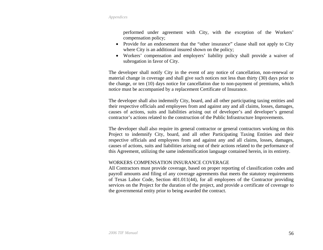performed under agreement with City, with the exception of the Workers' compensation policy;

- Provide for an endorsement that the "other insurance" clause shall not apply to City where City is an additional insured shown on the policy;
- Workers' compensation and employers' liability policy shall provide a waiver of subrogation in favor of City.

The developer shall notify City in the event of any notice of cancellation, non-renewal or material change in coverage and shall give such notices not less than thirty (30) days prior to the change, or ten (10) days notice for cancellation due to non-payment of premiums, which notice must be accompanied by a replacement Certificate of Insurance.

The developer shall also indemnify City, board, and all other participating taxing entities and their respective officials and employees from and against any and all claims, losses, damages, causes of actions, suits and liabilities arising out of developer's and developer's general contractor's actions related to the construction of the Public Infrastructure Improvements.

The developer shall also require its general contractor or general contractors working on this Project to indemnify City, board, and all other Participating Taxing Entities and their respective officials and employees from and against any and all claims, losses, damages, causes of actions, suits and liabilities arising out of their actions related to the performance of this Agreement, utilizing the same indemnification language contained herein, in its entirety.

#### WORKERS COMPENSATION INSURANCE COVERAGE

All Contractors must provide coverage, based on proper reporting of classification codes and payroll amounts and filing of any coverage agreements that meets the statutory requirements of Texas Labor Code, Section 401.011(44), for all employees of the Contractor providing services on the Project for the duration of the project, and provide a certificate of coverage to the governmental entity prior to being awarded the contract.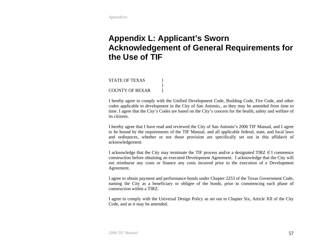# <span id="page-56-0"></span>**Appendix L: Applicant's Sworn Acknowledgement of General Requirements for the Use of TIF**

STATE OF TEXAS } } COUNTY OF BEXAR }

I hereby agree to comply with the Unified Development Code, Building Code, Fire Code, and other codes applicable to development in the City of San Antonio., as they may be amended from time to time. I agree that the City's Codes are based on the City's concern for the health, safety and welfare of its citizens.

I hereby agree that I have read and reviewed the City of San Antonio's 2006 TIF Manual, and I agree to be bound by the requirements of the TIF Manual, and all applicable federal, state, and local laws and ordinances, whether or not those provision are specifically set out in this affidavit of acknowledgement.

I acknowledge that the City may terminate the TIF process and/or a designated TIRZ if I commence construction before obtaining an executed Development Agreement. I acknowledge that the City will not reimburse any costs or finance any costs incurred prior to the execution of a Development Agreement.

I agree to obtain payment and performance bonds under Chapter 2253 of the Texas Government Code, naming the City as a beneficiary or obligee of the bonds, prior to commencing each phase of construction within a TIRZ.

I agree to comply with the Universal Design Policy as set out in Chapter Six, Article XII of the City Code, and as it may be amended.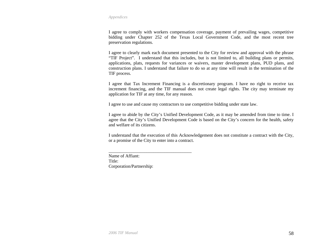I agree to comply with workers compensation coverage, payment of prevailing wages, competitive bidding under Chapter 252 of the Texas Local Government Code, and the most recent tree preservation regulations.

I agree to clearly mark each document presented to the City for review and approval with the phrase "TIF Project". I understand that this includes, but is not limited to, all building plans or permits, applications, plats, requests for variances or waivers, master development plans, PUD plans, and construction plans. I understand that failure to do so at any time will result in the termination of the TIF process.

I agree that Tax Increment Financing is a discretionary program. I have no right to receive tax increment financing, and the TIF manual does not create legal rights. The city may terminate my application for TIF at any time, for any reason.

I agree to use and cause my contractors to use competitive bidding under state law.

I agree to abide by the City's Unified Development Code, as it may be amended from time to time. I agree that the City's Unified Development Code is based on the City's concern for the health, safety and welfare of its citizens.

I understand that the execution of this Acknowledgement does not constitute a contract with the City, or a promise of the City to enter into a contract.

Name of Affiant: Title: Corporation/Partnership:

\_\_\_\_\_\_\_\_\_\_\_\_\_\_\_\_\_\_\_\_\_\_\_\_\_\_\_\_\_\_\_\_\_\_\_\_\_